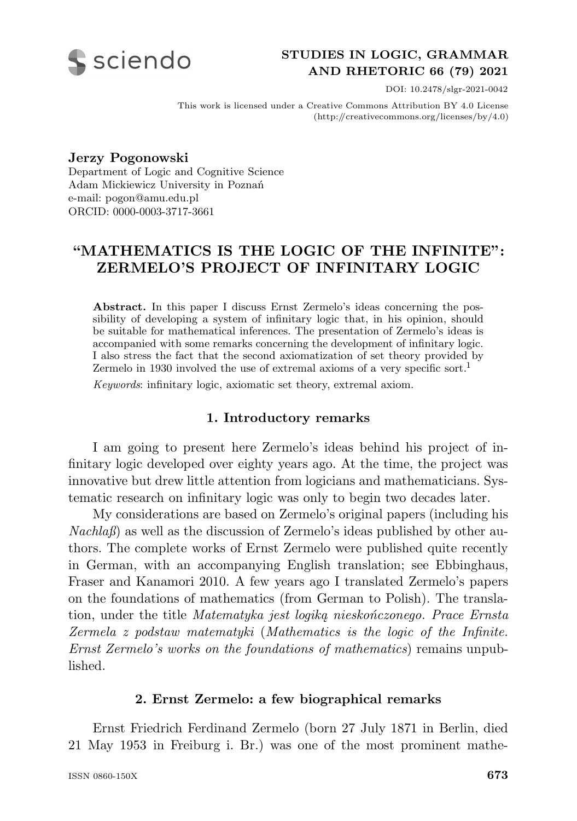

# **STUDIES IN LOGIC, GRAMMAR AND RHETORIC 66 (79) 2021**

DOI: 10.2478/slgr-2021-0042

This work is licensed under a Creative Commons Attribution BY 4.0 License (http://creativecommons.org/licenses/by/4.0)

**Jerzy Pogonowski** Department of Logic and Cognitive Science Adam Mickiewicz University in Poznań e-mail: pogon@amu.edu.pl ORCID: 0000-0003-3717-3661

# **"MATHEMATICS IS THE LOGIC OF THE INFINITE": ZERMELO'S PROJECT OF INFINITARY LOGIC**

**Abstract.** In this paper I discuss Ernst Zermelo's ideas concerning the possibility of developing a system of infinitary logic that, in his opinion, should be suitable for mathematical inferences. The presentation of Zermelo's ideas is accompanied with some remarks concerning the development of infinitary logic. I also stress the fact that the second axiomatization of set theory provided by Zermelo in 1930 involved the use of extremal axioms of a very specific sort.<sup>1</sup>

*Keywords*: infinitary logic, axiomatic set theory, extremal axiom.

### **1. Introductory remarks**

I am going to present here Zermelo's ideas behind his project of infinitary logic developed over eighty years ago. At the time, the project was innovative but drew little attention from logicians and mathematicians. Systematic research on infinitary logic was only to begin two decades later.

My considerations are based on Zermelo's original papers (including his *Nachlaß*) as well as the discussion of Zermelo's ideas published by other authors. The complete works of Ernst Zermelo were published quite recently in German, with an accompanying English translation; see Ebbinghaus, Fraser and Kanamori 2010. A few years ago I translated Zermelo's papers on the foundations of mathematics (from German to Polish). The translation, under the title *Matematyka jest logiką nieskończonego. Prace Ernsta Zermela z podstaw matematyki* (*Mathematics is the logic of the Infinite. Ernst Zermelo's works on the foundations of mathematics*) remains unpublished.

### **2. Ernst Zermelo: a few biographical remarks**

Ernst Friedrich Ferdinand Zermelo (born 27 July 1871 in Berlin, died 21 May 1953 in Freiburg i. Br.) was one of the most prominent mathe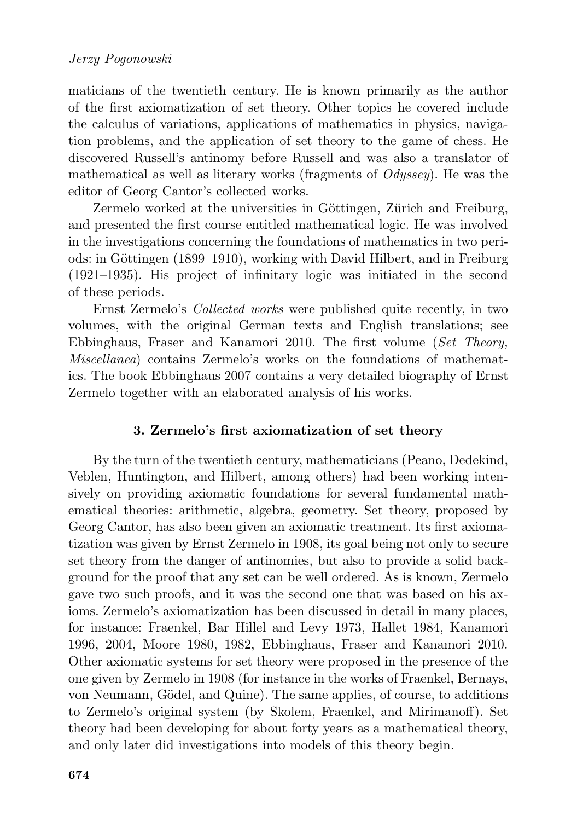maticians of the twentieth century. He is known primarily as the author of the first axiomatization of set theory. Other topics he covered include the calculus of variations, applications of mathematics in physics, navigation problems, and the application of set theory to the game of chess. He discovered Russell's antinomy before Russell and was also a translator of mathematical as well as literary works (fragments of *Odyssey*). He was the editor of Georg Cantor's collected works.

Zermelo worked at the universities in Göttingen, Zürich and Freiburg, and presented the first course entitled mathematical logic. He was involved in the investigations concerning the foundations of mathematics in two periods: in Göttingen (1899–1910), working with David Hilbert, and in Freiburg (1921–1935). His project of infinitary logic was initiated in the second of these periods.

Ernst Zermelo's *Collected works* were published quite recently, in two volumes, with the original German texts and English translations; see Ebbinghaus, Fraser and Kanamori 2010. The first volume (*Set Theory, Miscellanea*) contains Zermelo's works on the foundations of mathematics. The book Ebbinghaus 2007 contains a very detailed biography of Ernst Zermelo together with an elaborated analysis of his works.

# **3. Zermelo's first axiomatization of set theory**

By the turn of the twentieth century, mathematicians (Peano, Dedekind, Veblen, Huntington, and Hilbert, among others) had been working intensively on providing axiomatic foundations for several fundamental mathematical theories: arithmetic, algebra, geometry. Set theory, proposed by Georg Cantor, has also been given an axiomatic treatment. Its first axiomatization was given by Ernst Zermelo in 1908, its goal being not only to secure set theory from the danger of antinomies, but also to provide a solid background for the proof that any set can be well ordered. As is known, Zermelo gave two such proofs, and it was the second one that was based on his axioms. Zermelo's axiomatization has been discussed in detail in many places, for instance: Fraenkel, Bar Hillel and Levy 1973, Hallet 1984, Kanamori 1996, 2004, Moore 1980, 1982, Ebbinghaus, Fraser and Kanamori 2010. Other axiomatic systems for set theory were proposed in the presence of the one given by Zermelo in 1908 (for instance in the works of Fraenkel, Bernays, von Neumann, Gödel, and Quine). The same applies, of course, to additions to Zermelo's original system (by Skolem, Fraenkel, and Mirimanoff). Set theory had been developing for about forty years as a mathematical theory, and only later did investigations into models of this theory begin.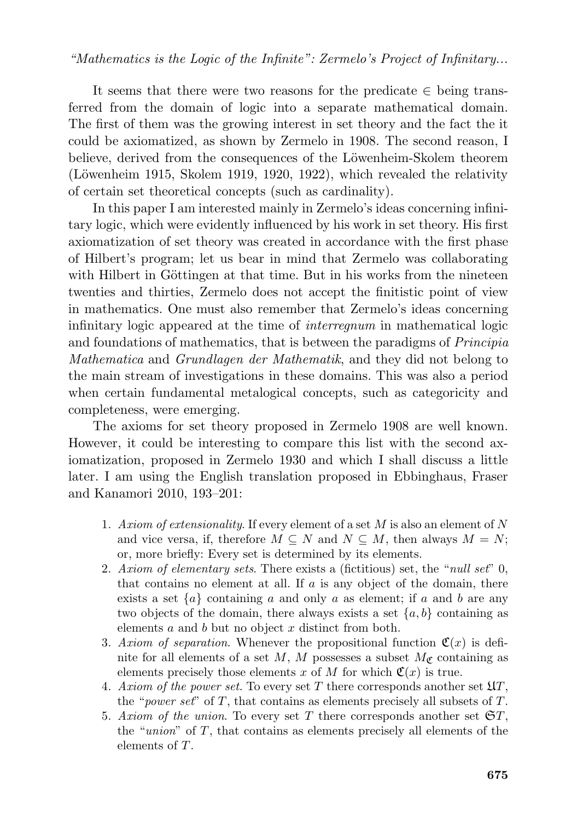It seems that there were two reasons for the predicate  $\in$  being transferred from the domain of logic into a separate mathematical domain. The first of them was the growing interest in set theory and the fact the it could be axiomatized, as shown by Zermelo in 1908. The second reason, I believe, derived from the consequences of the Löwenheim-Skolem theorem  $(Löwenheim 1915, Skolem 1919, 1920, 1922), which revealed the relativity$ of certain set theoretical concepts (such as cardinality).

In this paper I am interested mainly in Zermelo's ideas concerning infinitary logic, which were evidently influenced by his work in set theory. His first axiomatization of set theory was created in accordance with the first phase of Hilbert's program; let us bear in mind that Zermelo was collaborating with Hilbert in Göttingen at that time. But in his works from the nineteen twenties and thirties, Zermelo does not accept the finitistic point of view in mathematics. One must also remember that Zermelo's ideas concerning infinitary logic appeared at the time of *interregnum* in mathematical logic and foundations of mathematics, that is between the paradigms of *Principia Mathematica* and *Grundlagen der Mathematik*, and they did not belong to the main stream of investigations in these domains. This was also a period when certain fundamental metalogical concepts, such as categoricity and completeness, were emerging.

The axioms for set theory proposed in Zermelo 1908 are well known. However, it could be interesting to compare this list with the second axiomatization, proposed in Zermelo 1930 and which I shall discuss a little later. I am using the English translation proposed in Ebbinghaus, Fraser and Kanamori 2010, 193–201:

- 1. *Axiom of extensionality*. If every element of a set M is also an element of N and vice versa, if, therefore  $M \subseteq N$  and  $N \subseteq M$ , then always  $M = N$ ; or, more briefly: Every set is determined by its elements.
- 2. *Axiom of elementary sets*. There exists a (fictitious) set, the "*null set*" 0, that contains no element at all. If  $\alpha$  is any object of the domain, there exists a set  $\{a\}$  containing a and only a as element; if a and b are any two objects of the domain, there always exists a set  $\{a, b\}$  containing as elements  $a$  and  $b$  but no object  $x$  distinct from both.
- 3. Axiom of separation. Whenever the propositional function  $\mathfrak{C}(x)$  is definite for all elements of a set M, M possesses a subset  $M_{\mathcal{C}}$  containing as elements precisely those elements x of M for which  $\mathfrak{C}(x)$  is true.
- 4. *Axiom of the power set*. To every set T there corresponds another set UT , the "*power set*" of  $T$ , that contains as elements precisely all subsets of  $T$ .
- 5. Axiom of the union. To every set T there corresponds another set  $\mathfrak{S}T$ , the "*union*" of  $T$ , that contains as elements precisely all elements of the elements of  $T$ .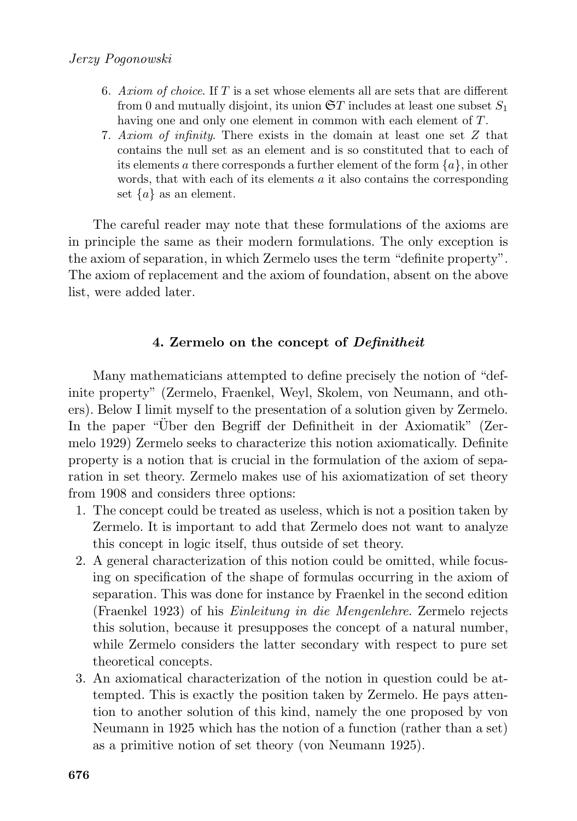- 6. *Axiom of choice*. If T is a set whose elements all are sets that are different from 0 and mutually disjoint, its union  $\mathfrak{S}T$  includes at least one subset  $S_1$ having one and only one element in common with each element of T.
- 7. *Axiom of infinity*. There exists in the domain at least one set Z that contains the null set as an element and is so constituted that to each of its elements a there corresponds a further element of the form  $\{a\}$ , in other words, that with each of its elements a it also contains the corresponding set  $\{a\}$  as an element.

The careful reader may note that these formulations of the axioms are in principle the same as their modern formulations. The only exception is the axiom of separation, in which Zermelo uses the term "definite property". The axiom of replacement and the axiom of foundation, absent on the above list, were added later.

# **4. Zermelo on the concept of** *Definitheit*

Many mathematicians attempted to define precisely the notion of "definite property" (Zermelo, Fraenkel, Weyl, Skolem, von Neumann, and others). Below I limit myself to the presentation of a solution given by Zermelo. In the paper "Über den Begriff der Definitheit in der Axiomatik" (Zermelo 1929) Zermelo seeks to characterize this notion axiomatically. Definite property is a notion that is crucial in the formulation of the axiom of separation in set theory. Zermelo makes use of his axiomatization of set theory from 1908 and considers three options:

- 1. The concept could be treated as useless, which is not a position taken by Zermelo. It is important to add that Zermelo does not want to analyze this concept in logic itself, thus outside of set theory.
- 2. A general characterization of this notion could be omitted, while focusing on specification of the shape of formulas occurring in the axiom of separation. This was done for instance by Fraenkel in the second edition (Fraenkel 1923) of his *Einleitung in die Mengenlehre*. Zermelo rejects this solution, because it presupposes the concept of a natural number, while Zermelo considers the latter secondary with respect to pure set theoretical concepts.
- 3. An axiomatical characterization of the notion in question could be attempted. This is exactly the position taken by Zermelo. He pays attention to another solution of this kind, namely the one proposed by von Neumann in 1925 which has the notion of a function (rather than a set) as a primitive notion of set theory (von Neumann 1925).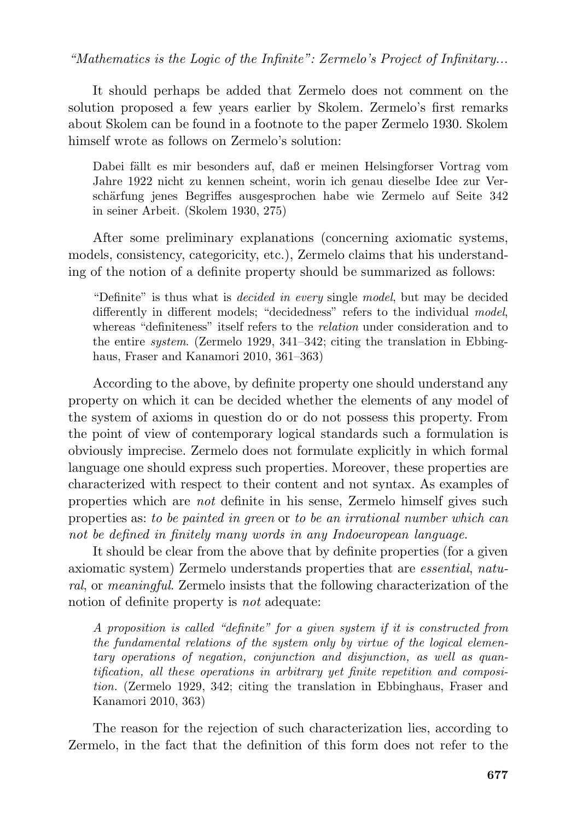It should perhaps be added that Zermelo does not comment on the solution proposed a few years earlier by Skolem. Zermelo's first remarks about Skolem can be found in a footnote to the paper Zermelo 1930. Skolem himself wrote as follows on Zermelo's solution:

Dabei fällt es mir besonders auf, daß er meinen Helsingforser Vortrag vom Jahre 1922 nicht zu kennen scheint, worin ich genau dieselbe Idee zur Verschärfung jenes Begriffes ausgesprochen habe wie Zermelo auf Seite 342 in seiner Arbeit. (Skolem 1930, 275)

After some preliminary explanations (concerning axiomatic systems, models, consistency, categoricity, etc.), Zermelo claims that his understanding of the notion of a definite property should be summarized as follows:

"Definite" is thus what is *decided in every* single *model*, but may be decided differently in different models; "decidedness" refers to the individual *model*, whereas "definiteness" itself refers to the *relation* under consideration and to the entire *system*. (Zermelo 1929, 341–342; citing the translation in Ebbinghaus, Fraser and Kanamori 2010, 361–363)

According to the above, by definite property one should understand any property on which it can be decided whether the elements of any model of the system of axioms in question do or do not possess this property. From the point of view of contemporary logical standards such a formulation is obviously imprecise. Zermelo does not formulate explicitly in which formal language one should express such properties. Moreover, these properties are characterized with respect to their content and not syntax. As examples of properties which are *not* definite in his sense, Zermelo himself gives such properties as: *to be painted in green* or *to be an irrational number which can not be defined in finitely many words in any Indoeuropean language*.

It should be clear from the above that by definite properties (for a given axiomatic system) Zermelo understands properties that are *essential*, *natural*, or *meaningful*. Zermelo insists that the following characterization of the notion of definite property is *not* adequate:

*A proposition is called "definite" for a given system if it is constructed from the fundamental relations of the system only by virtue of the logical elementary operations of negation, conjunction and disjunction, as well as quantification, all these operations in arbitrary yet finite repetition and composition.* (Zermelo 1929, 342; citing the translation in Ebbinghaus, Fraser and Kanamori 2010, 363)

The reason for the rejection of such characterization lies, according to Zermelo, in the fact that the definition of this form does not refer to the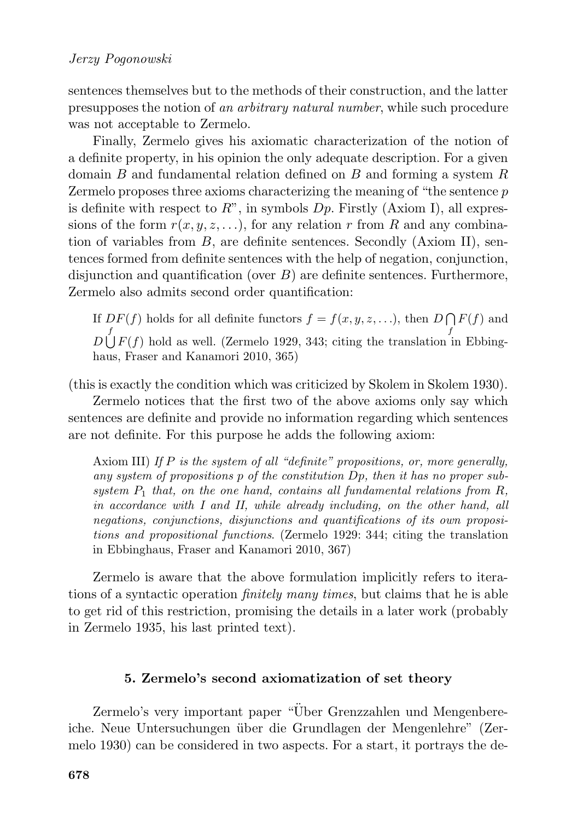sentences themselves but to the methods of their construction, and the latter presupposes the notion of *an arbitrary natural number*, while such procedure was not acceptable to Zermelo.

Finally, Zermelo gives his axiomatic characterization of the notion of a definite property, in his opinion the only adequate description. For a given domain  $B$  and fundamental relation defined on  $B$  and forming a system  $R$ Zermelo proposes three axioms characterizing the meaning of "the sentence  $p$ " is definite with respect to  $R^{\prime\prime}$ , in symbols  $Dp$ . Firstly (Axiom I), all expressions of the form  $r(x, y, z, \ldots)$ , for any relation r from R and any combination of variables from  $B$ , are definite sentences. Secondly (Axiom II), sentences formed from definite sentences with the help of negation, conjunction, disjunction and quantification (over  $B$ ) are definite sentences. Furthermore, Zermelo also admits second order quantification:

If  $DF(f)$  holds for all definite functors  $f = f(x, y, z, \ldots)$ , then  $D \bigcap F(f)$  and  $D \bigcup^f F(f)$  hold as well. (Zermelo 1929, 343; citing the translation in Ebbinghaus, Fraser and Kanamori 2010, 365)

(this is exactly the condition which was criticized by Skolem in Skolem 1930).

Zermelo notices that the first two of the above axioms only say which sentences are definite and provide no information regarding which sentences are not definite. For this purpose he adds the following axiom:

Axiom III) *If* P *is the system of all "definite" propositions, or, more generally, any system of propositions* p *of the constitution* Dp*, then it has no proper sub*system  $P_1$  that, on the one hand, contains all fundamental relations from  $R$ , *in accordance with I and II, while already including, on the other hand, all negations, conjunctions, disjunctions and quantifications of its own propositions and propositional functions*. (Zermelo 1929: 344; citing the translation in Ebbinghaus, Fraser and Kanamori 2010, 367)

Zermelo is aware that the above formulation implicitly refers to iterations of a syntactic operation *finitely many times*, but claims that he is able to get rid of this restriction, promising the details in a later work (probably in Zermelo 1935, his last printed text).

### **5. Zermelo's second axiomatization of set theory**

Zermelo's very important paper "Über Grenzzahlen und Mengenbereiche. Neue Untersuchungen über die Grundlagen der Mengenlehre" (Zermelo 1930) can be considered in two aspects. For a start, it portrays the de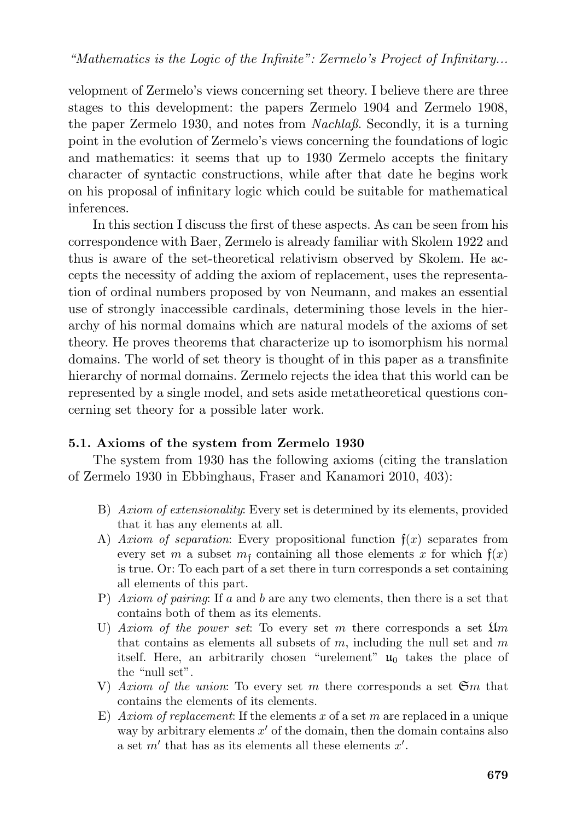velopment of Zermelo's views concerning set theory. I believe there are three stages to this development: the papers Zermelo 1904 and Zermelo 1908, the paper Zermelo 1930, and notes from *Nachlaß*. Secondly, it is a turning point in the evolution of Zermelo's views concerning the foundations of logic and mathematics: it seems that up to 1930 Zermelo accepts the finitary character of syntactic constructions, while after that date he begins work on his proposal of infinitary logic which could be suitable for mathematical inferences.

In this section I discuss the first of these aspects. As can be seen from his correspondence with Baer, Zermelo is already familiar with Skolem 1922 and thus is aware of the set-theoretical relativism observed by Skolem. He accepts the necessity of adding the axiom of replacement, uses the representation of ordinal numbers proposed by von Neumann, and makes an essential use of strongly inaccessible cardinals, determining those levels in the hierarchy of his normal domains which are natural models of the axioms of set theory. He proves theorems that characterize up to isomorphism his normal domains. The world of set theory is thought of in this paper as a transfinite hierarchy of normal domains. Zermelo rejects the idea that this world can be represented by a single model, and sets aside metatheoretical questions concerning set theory for a possible later work.

# **5.1. Axioms of the system from Zermelo 1930**

The system from 1930 has the following axioms (citing the translation of Zermelo 1930 in Ebbinghaus, Fraser and Kanamori 2010, 403):

- B) *Axiom of extensionality*: Every set is determined by its elements, provided that it has any elements at all.
- A) *Axiom of separation*: Every propositional function  $f(x)$  separates from every set m a subset  $m_f$  containing all those elements x for which  $f(x)$ is true. Or: To each part of a set there in turn corresponds a set containing all elements of this part.
- P) *Axiom of pairing*: If a and b are any two elements, then there is a set that contains both of them as its elements.
- U) *Axiom of the power set*: To every set m there corresponds a set  $\mathfrak{U}_m$ that contains as elements all subsets of  $m$ , including the null set and  $m$ itself. Here, an arbitrarily chosen "urelement"  $\mathfrak{u}_0$  takes the place of the "null set".
- V) *Axiom of the union*: To every set m there corresponds a set  $\mathfrak{S}m$  that contains the elements of its elements.
- E) *Axiom of replacement*: If the elements x of a set m are replaced in a unique way by arbitrary elements  $x'$  of the domain, then the domain contains also a set  $m'$  that has as its elements all these elements  $x'$ .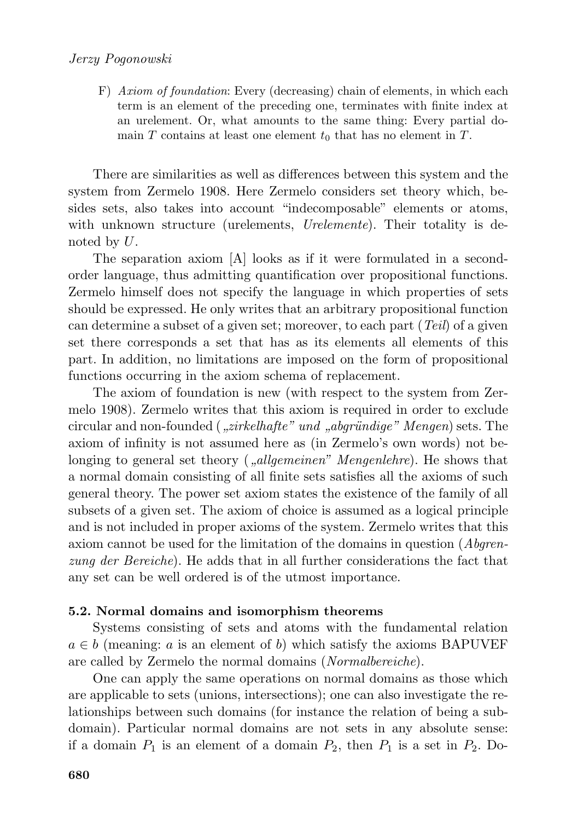F) *Axiom of foundation*: Every (decreasing) chain of elements, in which each term is an element of the preceding one, terminates with finite index at an urelement. Or, what amounts to the same thing: Every partial domain T contains at least one element  $t_0$  that has no element in T.

There are similarities as well as differences between this system and the system from Zermelo 1908. Here Zermelo considers set theory which, besides sets, also takes into account "indecomposable" elements or atoms, with unknown structure (urelements, *Urelemente*). Their totality is denoted by U.

The separation axiom [A] looks as if it were formulated in a secondorder language, thus admitting quantification over propositional functions. Zermelo himself does not specify the language in which properties of sets should be expressed. He only writes that an arbitrary propositional function can determine a subset of a given set; moreover, to each part (*Teil*) of a given set there corresponds a set that has as its elements all elements of this part. In addition, no limitations are imposed on the form of propositional functions occurring in the axiom schema of replacement.

The axiom of foundation is new (with respect to the system from Zermelo 1908). Zermelo writes that this axiom is required in order to exclude circular and non-founded (*"zirkelhafte" und "abgründige" Mengen*) sets. The axiom of infinity is not assumed here as (in Zermelo's own words) not belonging to general set theory (*"allgemeinen" Mengenlehre*). He shows that a normal domain consisting of all finite sets satisfies all the axioms of such general theory. The power set axiom states the existence of the family of all subsets of a given set. The axiom of choice is assumed as a logical principle and is not included in proper axioms of the system. Zermelo writes that this axiom cannot be used for the limitation of the domains in question (*Abgrenzung der Bereiche*). He adds that in all further considerations the fact that any set can be well ordered is of the utmost importance.

# **5.2. Normal domains and isomorphism theorems**

Systems consisting of sets and atoms with the fundamental relation  $a \in b$  (meaning: a is an element of b) which satisfy the axioms BAPUVEF are called by Zermelo the normal domains (*Normalbereiche*).

One can apply the same operations on normal domains as those which are applicable to sets (unions, intersections); one can also investigate the relationships between such domains (for instance the relation of being a subdomain). Particular normal domains are not sets in any absolute sense: if a domain  $P_1$  is an element of a domain  $P_2$ , then  $P_1$  is a set in  $P_2$ . Do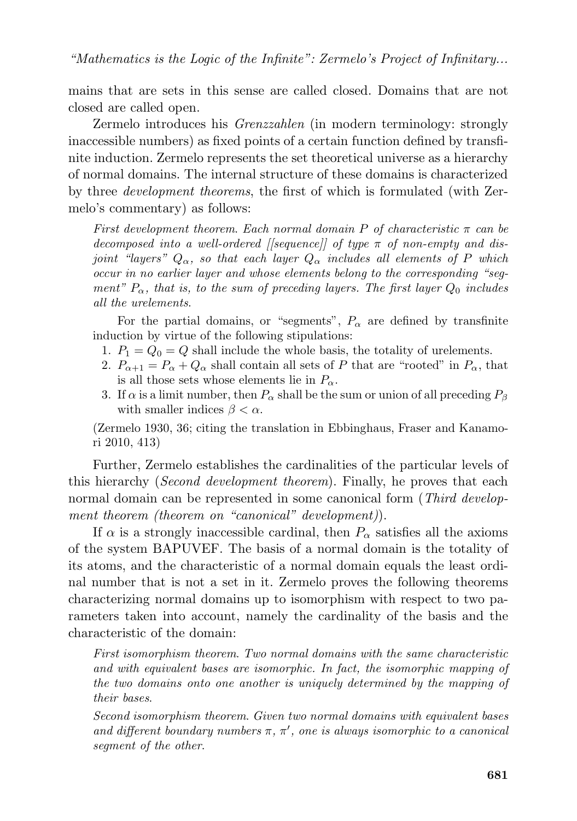mains that are sets in this sense are called closed. Domains that are not closed are called open.

Zermelo introduces his *Grenzzahlen* (in modern terminology: strongly inaccessible numbers) as fixed points of a certain function defined by transfinite induction. Zermelo represents the set theoretical universe as a hierarchy of normal domains. The internal structure of these domains is characterized by three *development theorems*, the first of which is formulated (with Zermelo's commentary) as follows:

*First development theorem*. *Each normal domain* P *of characteristic* π *can be decomposed into a well-ordered [[sequence]] of type* π *of non-empty and disjoint "layers"*  $Q_{\alpha}$ , so that each layer  $Q_{\alpha}$  *includes all elements of* P *which occur in no earlier layer and whose elements belong to the corresponding "segment"*  $P_{\alpha}$ , that is, to the sum of preceding layers. The first layer  $Q_0$  includes *all the urelements*.

For the partial domains, or "segments",  $P_{\alpha}$  are defined by transfinite induction by virtue of the following stipulations:

- 1.  $P_1 = Q_0 = Q$  shall include the whole basis, the totality of urelements.
- 2.  $P_{\alpha+1} = P_{\alpha} + Q_{\alpha}$  shall contain all sets of P that are "rooted" in  $P_{\alpha}$ , that is all those sets whose elements lie in  $P_{\alpha}$ .
- 3. If  $\alpha$  is a limit number, then  $P_{\alpha}$  shall be the sum or union of all preceding  $P_{\beta}$ with smaller indices  $\beta < \alpha$ .

(Zermelo 1930, 36; citing the translation in Ebbinghaus, Fraser and Kanamori 2010, 413)

Further, Zermelo establishes the cardinalities of the particular levels of this hierarchy (*Second development theorem*). Finally, he proves that each normal domain can be represented in some canonical form (*Third development theorem (theorem on "canonical" development)*).

If  $\alpha$  is a strongly inaccessible cardinal, then  $P_{\alpha}$  satisfies all the axioms of the system BAPUVEF. The basis of a normal domain is the totality of its atoms, and the characteristic of a normal domain equals the least ordinal number that is not a set in it. Zermelo proves the following theorems characterizing normal domains up to isomorphism with respect to two parameters taken into account, namely the cardinality of the basis and the characteristic of the domain:

*First isomorphism theorem*. *Two normal domains with the same characteristic and with equivalent bases are isomorphic. In fact, the isomorphic mapping of the two domains onto one another is uniquely determined by the mapping of their bases*.

*Second isomorphism theorem*. *Given two normal domains with equivalent bases and different boundary numbers* π*,* π ′ *, one is always isomorphic to a canonical segment of the other*.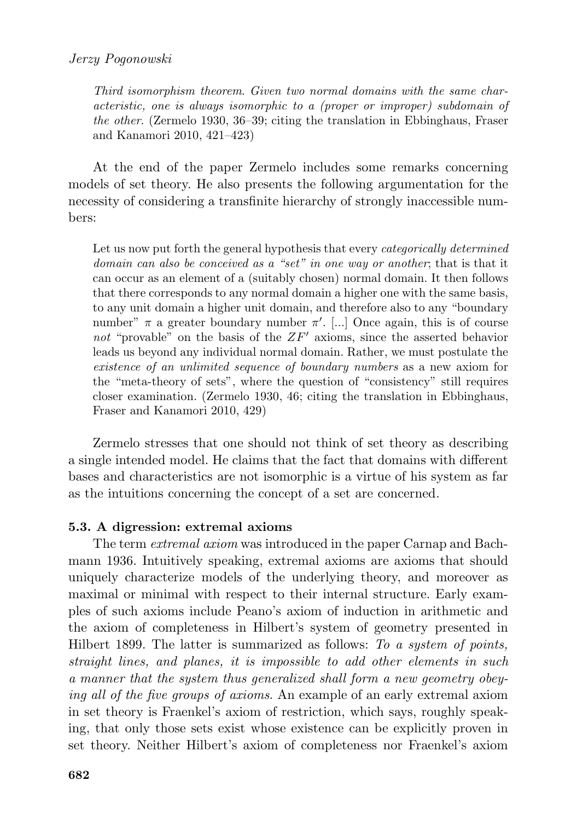*Third isomorphism theorem*. *Given two normal domains with the same characteristic, one is always isomorphic to a (proper or improper) subdomain of the other*. (Zermelo 1930, 36–39; citing the translation in Ebbinghaus, Fraser and Kanamori 2010, 421–423)

At the end of the paper Zermelo includes some remarks concerning models of set theory. He also presents the following argumentation for the necessity of considering a transfinite hierarchy of strongly inaccessible numbers:

Let us now put forth the general hypothesis that every *categorically determined domain can also be conceived as a "set" in one way or another*; that is that it can occur as an element of a (suitably chosen) normal domain. It then follows that there corresponds to any normal domain a higher one with the same basis, to any unit domain a higher unit domain, and therefore also to any "boundary number"  $\pi$  a greater boundary number  $\pi'$ . [...] Once again, this is of course not "provable" on the basis of the  $ZF'$  axioms, since the asserted behavior leads us beyond any individual normal domain. Rather, we must postulate the *existence of an unlimited sequence of boundary numbers* as a new axiom for the "meta-theory of sets", where the question of "consistency" still requires closer examination. (Zermelo 1930, 46; citing the translation in Ebbinghaus, Fraser and Kanamori 2010, 429)

Zermelo stresses that one should not think of set theory as describing a single intended model. He claims that the fact that domains with different bases and characteristics are not isomorphic is a virtue of his system as far as the intuitions concerning the concept of a set are concerned.

# **5.3. A digression: extremal axioms**

The term *extremal axiom* was introduced in the paper Carnap and Bachmann 1936. Intuitively speaking, extremal axioms are axioms that should uniquely characterize models of the underlying theory, and moreover as maximal or minimal with respect to their internal structure. Early examples of such axioms include Peano's axiom of induction in arithmetic and the axiom of completeness in Hilbert's system of geometry presented in Hilbert 1899. The latter is summarized as follows: *To a system of points, straight lines, and planes, it is impossible to add other elements in such a manner that the system thus generalized shall form a new geometry obeying all of the five groups of axioms*. An example of an early extremal axiom in set theory is Fraenkel's axiom of restriction, which says, roughly speaking, that only those sets exist whose existence can be explicitly proven in set theory. Neither Hilbert's axiom of completeness nor Fraenkel's axiom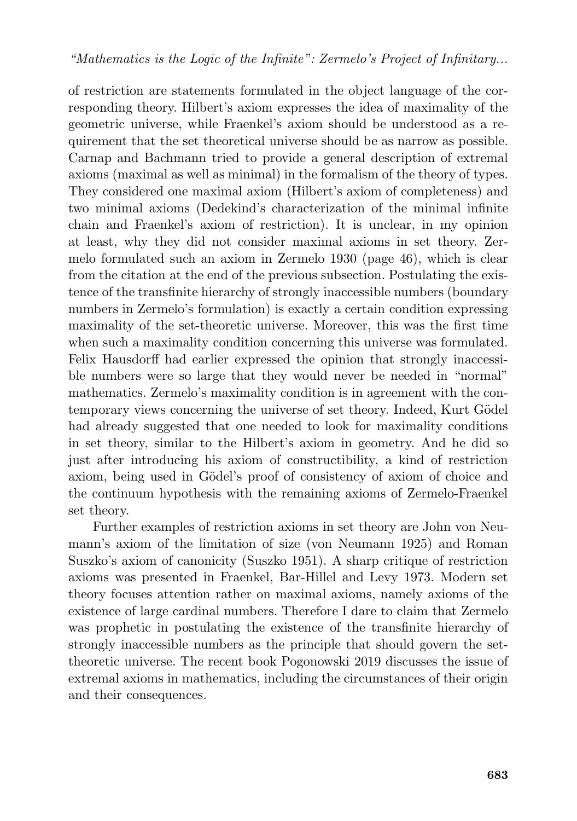of restriction are statements formulated in the object language of the corresponding theory. Hilbert's axiom expresses the idea of maximality of the geometric universe, while Fraenkel's axiom should be understood as a requirement that the set theoretical universe should be as narrow as possible. Carnap and Bachmann tried to provide a general description of extremal axioms (maximal as well as minimal) in the formalism of the theory of types. They considered one maximal axiom (Hilbert's axiom of completeness) and two minimal axioms (Dedekind's characterization of the minimal infinite chain and Fraenkel's axiom of restriction). It is unclear, in my opinion at least, why they did not consider maximal axioms in set theory. Zermelo formulated such an axiom in Zermelo 1930 (page 46), which is clear from the citation at the end of the previous subsection. Postulating the existence of the transfinite hierarchy of strongly inaccessible numbers (boundary numbers in Zermelo's formulation) is exactly a certain condition expressing maximality of the set-theoretic universe. Moreover, this was the first time when such a maximality condition concerning this universe was formulated. Felix Hausdorff had earlier expressed the opinion that strongly inaccessible numbers were so large that they would never be needed in "normal" mathematics. Zermelo's maximality condition is in agreement with the contemporary views concerning the universe of set theory. Indeed, Kurt Gödel had already suggested that one needed to look for maximality conditions in set theory, similar to the Hilbert's axiom in geometry. And he did so just after introducing his axiom of constructibility, a kind of restriction axiom, being used in Gödel's proof of consistency of axiom of choice and the continuum hypothesis with the remaining axioms of Zermelo-Fraenkel set theory.

Further examples of restriction axioms in set theory are John von Neumann's axiom of the limitation of size (von Neumann 1925) and Roman Suszko's axiom of canonicity (Suszko 1951). A sharp critique of restriction axioms was presented in Fraenkel, Bar-Hillel and Levy 1973. Modern set theory focuses attention rather on maximal axioms, namely axioms of the existence of large cardinal numbers. Therefore I dare to claim that Zermelo was prophetic in postulating the existence of the transfinite hierarchy of strongly inaccessible numbers as the principle that should govern the settheoretic universe. The recent book Pogonowski 2019 discusses the issue of extremal axioms in mathematics, including the circumstances of their origin and their consequences.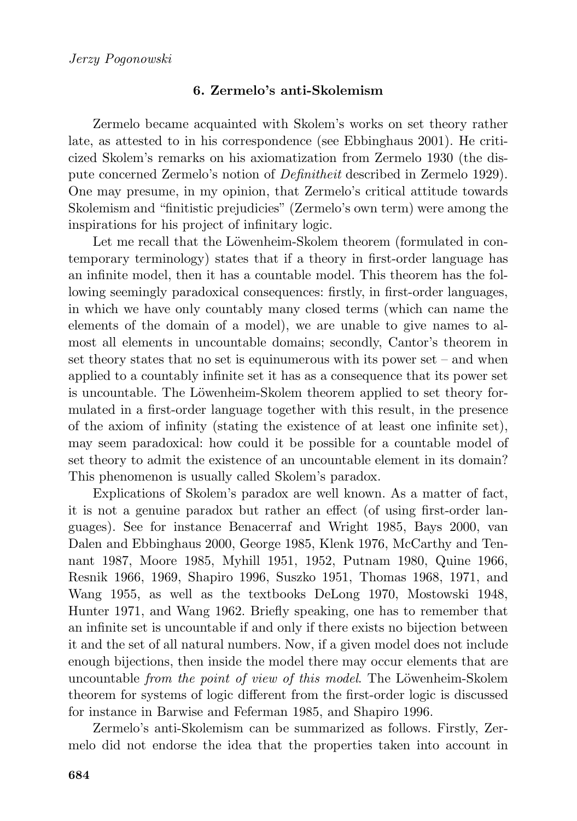# **6. Zermelo's anti-Skolemism**

Zermelo became acquainted with Skolem's works on set theory rather late, as attested to in his correspondence (see Ebbinghaus 2001). He criticized Skolem's remarks on his axiomatization from Zermelo 1930 (the dispute concerned Zermelo's notion of *Definitheit* described in Zermelo 1929). One may presume, in my opinion, that Zermelo's critical attitude towards Skolemism and "finitistic prejudicies" (Zermelo's own term) were among the inspirations for his project of infinitary logic.

Let me recall that the Löwenheim-Skolem theorem (formulated in contemporary terminology) states that if a theory in first-order language has an infinite model, then it has a countable model. This theorem has the following seemingly paradoxical consequences: firstly, in first-order languages, in which we have only countably many closed terms (which can name the elements of the domain of a model), we are unable to give names to almost all elements in uncountable domains; secondly, Cantor's theorem in set theory states that no set is equinumerous with its power set – and when applied to a countably infinite set it has as a consequence that its power set is uncountable. The Löwenheim-Skolem theorem applied to set theory formulated in a first-order language together with this result, in the presence of the axiom of infinity (stating the existence of at least one infinite set), may seem paradoxical: how could it be possible for a countable model of set theory to admit the existence of an uncountable element in its domain? This phenomenon is usually called Skolem's paradox.

Explications of Skolem's paradox are well known. As a matter of fact, it is not a genuine paradox but rather an effect (of using first-order languages). See for instance Benacerraf and Wright 1985, Bays 2000, van Dalen and Ebbinghaus 2000, George 1985, Klenk 1976, McCarthy and Tennant 1987, Moore 1985, Myhill 1951, 1952, Putnam 1980, Quine 1966, Resnik 1966, 1969, Shapiro 1996, Suszko 1951, Thomas 1968, 1971, and Wang 1955, as well as the textbooks DeLong 1970, Mostowski 1948, Hunter 1971, and Wang 1962. Briefly speaking, one has to remember that an infinite set is uncountable if and only if there exists no bijection between it and the set of all natural numbers. Now, if a given model does not include enough bijections, then inside the model there may occur elements that are uncountable *from the point of view of this model*. The Löwenheim-Skolem theorem for systems of logic different from the first-order logic is discussed for instance in Barwise and Feferman 1985, and Shapiro 1996.

Zermelo's anti-Skolemism can be summarized as follows. Firstly, Zermelo did not endorse the idea that the properties taken into account in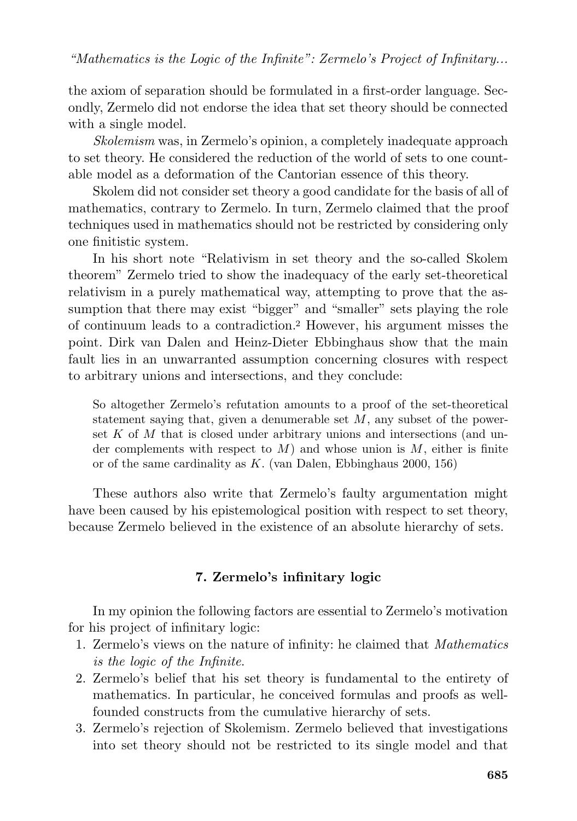the axiom of separation should be formulated in a first-order language. Secondly, Zermelo did not endorse the idea that set theory should be connected with a single model.

*Skolemism* was, in Zermelo's opinion, a completely inadequate approach to set theory. He considered the reduction of the world of sets to one countable model as a deformation of the Cantorian essence of this theory.

Skolem did not consider set theory a good candidate for the basis of all of mathematics, contrary to Zermelo. In turn, Zermelo claimed that the proof techniques used in mathematics should not be restricted by considering only one finitistic system.

In his short note "Relativism in set theory and the so-called Skolem theorem" Zermelo tried to show the inadequacy of the early set-theoretical relativism in a purely mathematical way, attempting to prove that the assumption that there may exist "bigger" and "smaller" sets playing the role of continuum leads to a contradiction.<sup>2</sup> However, his argument misses the point. Dirk van Dalen and Heinz-Dieter Ebbinghaus show that the main fault lies in an unwarranted assumption concerning closures with respect to arbitrary unions and intersections, and they conclude:

So altogether Zermelo's refutation amounts to a proof of the set-theoretical statement saying that, given a denumerable set  $M$ , any subset of the powerset  $K$  of  $M$  that is closed under arbitrary unions and intersections (and under complements with respect to  $M$ ) and whose union is  $M$ , either is finite or of the same cardinality as K. (van Dalen, Ebbinghaus 2000, 156)

These authors also write that Zermelo's faulty argumentation might have been caused by his epistemological position with respect to set theory, because Zermelo believed in the existence of an absolute hierarchy of sets.

# **7. Zermelo's infinitary logic**

In my opinion the following factors are essential to Zermelo's motivation for his project of infinitary logic:

- 1. Zermelo's views on the nature of infinity: he claimed that *Mathematics is the logic of the Infinite*.
- 2. Zermelo's belief that his set theory is fundamental to the entirety of mathematics. In particular, he conceived formulas and proofs as wellfounded constructs from the cumulative hierarchy of sets.
- 3. Zermelo's rejection of Skolemism. Zermelo believed that investigations into set theory should not be restricted to its single model and that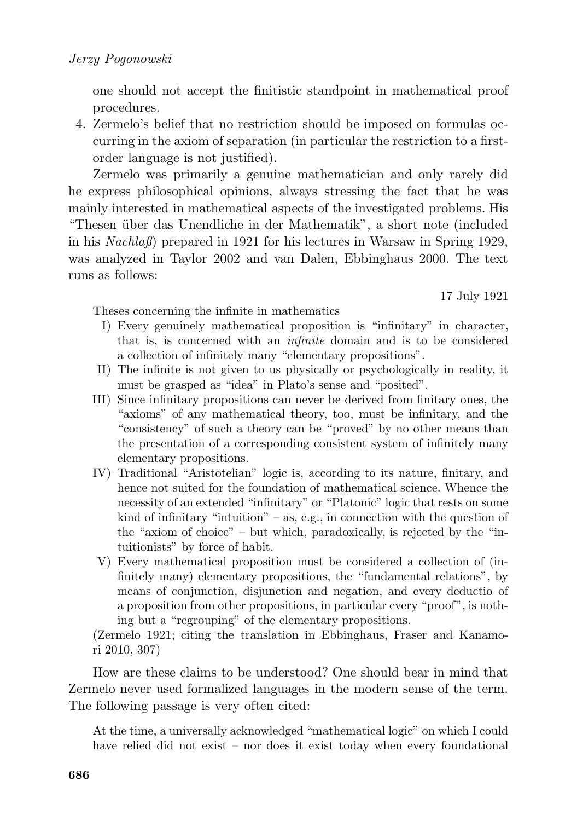one should not accept the finitistic standpoint in mathematical proof procedures.

4. Zermelo's belief that no restriction should be imposed on formulas occurring in the axiom of separation (in particular the restriction to a firstorder language is not justified).

Zermelo was primarily a genuine mathematician and only rarely did he express philosophical opinions, always stressing the fact that he was mainly interested in mathematical aspects of the investigated problems. His "Thesen über das Unendliche in der Mathematik", a short note (included in his *Nachlaß*) prepared in 1921 for his lectures in Warsaw in Spring 1929, was analyzed in Taylor 2002 and van Dalen, Ebbinghaus 2000. The text runs as follows:

17 July 1921

Theses concerning the infinite in mathematics

- I) Every genuinely mathematical proposition is "infinitary" in character, that is, is concerned with an *infinite* domain and is to be considered a collection of infinitely many "elementary propositions".
- II) The infinite is not given to us physically or psychologically in reality, it must be grasped as "idea" in Plato's sense and "posited".
- III) Since infinitary propositions can never be derived from finitary ones, the "axioms" of any mathematical theory, too, must be infinitary, and the "consistency" of such a theory can be "proved" by no other means than the presentation of a corresponding consistent system of infinitely many elementary propositions.
- IV) Traditional "Aristotelian" logic is, according to its nature, finitary, and hence not suited for the foundation of mathematical science. Whence the necessity of an extended "infinitary" or "Platonic" logic that rests on some kind of infinitary "intuition" – as, e.g., in connection with the question of the "axiom of choice" – but which, paradoxically, is rejected by the "intuitionists" by force of habit.
- V) Every mathematical proposition must be considered a collection of (infinitely many) elementary propositions, the "fundamental relations", by means of conjunction, disjunction and negation, and every deductio of a proposition from other propositions, in particular every "proof", is nothing but a "regrouping" of the elementary propositions.

(Zermelo 1921; citing the translation in Ebbinghaus, Fraser and Kanamori 2010, 307)

How are these claims to be understood? One should bear in mind that Zermelo never used formalized languages in the modern sense of the term. The following passage is very often cited:

At the time, a universally acknowledged "mathematical logic" on which I could have relied did not exist – nor does it exist today when every foundational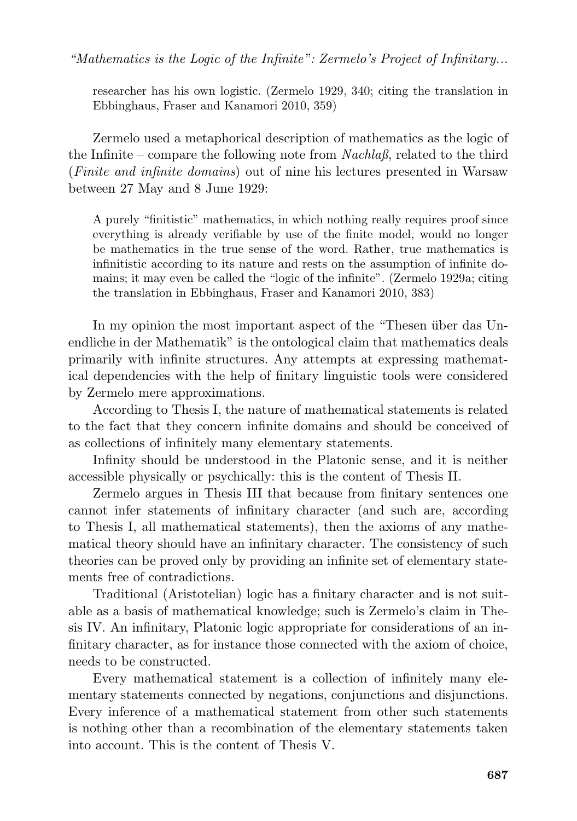researcher has his own logistic. (Zermelo 1929, 340; citing the translation in Ebbinghaus, Fraser and Kanamori 2010, 359)

Zermelo used a metaphorical description of mathematics as the logic of the Infinite – compare the following note from *Nachlaß*, related to the third (*Finite and infinite domains*) out of nine his lectures presented in Warsaw between 27 May and 8 June 1929:

A purely "finitistic" mathematics, in which nothing really requires proof since everything is already verifiable by use of the finite model, would no longer be mathematics in the true sense of the word. Rather, true mathematics is infinitistic according to its nature and rests on the assumption of infinite domains; it may even be called the "logic of the infinite". (Zermelo 1929a; citing the translation in Ebbinghaus, Fraser and Kanamori 2010, 383)

In my opinion the most important aspect of the "Thesen über das Unendliche in der Mathematik" is the ontological claim that mathematics deals primarily with infinite structures. Any attempts at expressing mathematical dependencies with the help of finitary linguistic tools were considered by Zermelo mere approximations.

According to Thesis I, the nature of mathematical statements is related to the fact that they concern infinite domains and should be conceived of as collections of infinitely many elementary statements.

Infinity should be understood in the Platonic sense, and it is neither accessible physically or psychically: this is the content of Thesis II.

Zermelo argues in Thesis III that because from finitary sentences one cannot infer statements of infinitary character (and such are, according to Thesis I, all mathematical statements), then the axioms of any mathematical theory should have an infinitary character. The consistency of such theories can be proved only by providing an infinite set of elementary statements free of contradictions.

Traditional (Aristotelian) logic has a finitary character and is not suitable as a basis of mathematical knowledge; such is Zermelo's claim in Thesis IV. An infinitary, Platonic logic appropriate for considerations of an infinitary character, as for instance those connected with the axiom of choice, needs to be constructed.

Every mathematical statement is a collection of infinitely many elementary statements connected by negations, conjunctions and disjunctions. Every inference of a mathematical statement from other such statements is nothing other than a recombination of the elementary statements taken into account. This is the content of Thesis V.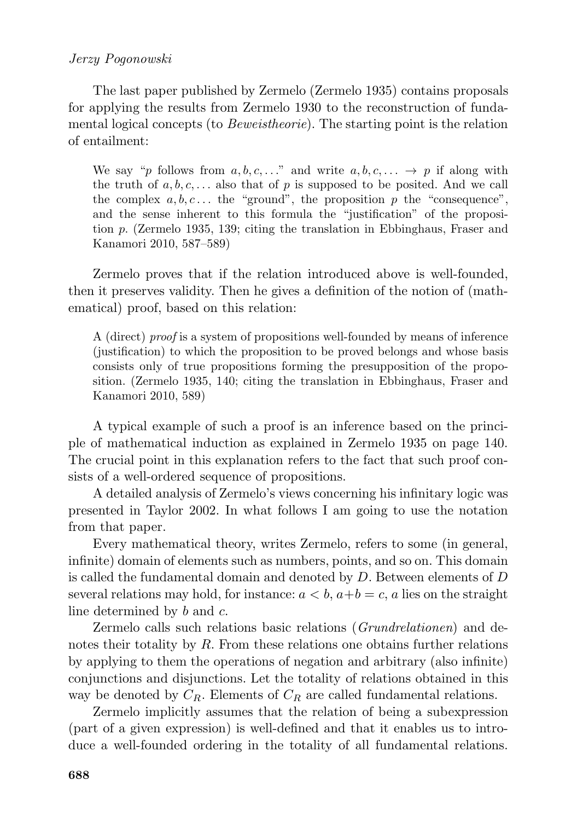## *Jerzy Pogonowski*

The last paper published by Zermelo (Zermelo 1935) contains proposals for applying the results from Zermelo 1930 to the reconstruction of fundamental logical concepts (to *Beweistheorie*). The starting point is the relation of entailment:

We say "p follows from  $a, b, c, \ldots$ " and write  $a, b, c, \ldots \rightarrow p$  if along with the truth of a, b, c,  $\dots$  also that of p is supposed to be posited. And we call the complex  $a, b, c \dots$  the "ground", the proposition p the "consequence", and the sense inherent to this formula the "justification" of the proposition p. (Zermelo 1935, 139; citing the translation in Ebbinghaus, Fraser and Kanamori 2010, 587–589)

Zermelo proves that if the relation introduced above is well-founded, then it preserves validity. Then he gives a definition of the notion of (mathematical) proof, based on this relation:

A (direct) *proof* is a system of propositions well-founded by means of inference (justification) to which the proposition to be proved belongs and whose basis consists only of true propositions forming the presupposition of the proposition. (Zermelo 1935, 140; citing the translation in Ebbinghaus, Fraser and Kanamori 2010, 589)

A typical example of such a proof is an inference based on the principle of mathematical induction as explained in Zermelo 1935 on page 140. The crucial point in this explanation refers to the fact that such proof consists of a well-ordered sequence of propositions.

A detailed analysis of Zermelo's views concerning his infinitary logic was presented in Taylor 2002. In what follows I am going to use the notation from that paper.

Every mathematical theory, writes Zermelo, refers to some (in general, infinite) domain of elements such as numbers, points, and so on. This domain is called the fundamental domain and denoted by D. Between elements of D several relations may hold, for instance:  $a < b$ ,  $a+b = c$ , a lies on the straight line determined by b and c.

Zermelo calls such relations basic relations (*Grundrelationen*) and denotes their totality by  $R$ . From these relations one obtains further relations by applying to them the operations of negation and arbitrary (also infinite) conjunctions and disjunctions. Let the totality of relations obtained in this way be denoted by  $C_R$ . Elements of  $C_R$  are called fundamental relations.

Zermelo implicitly assumes that the relation of being a subexpression (part of a given expression) is well-defined and that it enables us to introduce a well-founded ordering in the totality of all fundamental relations.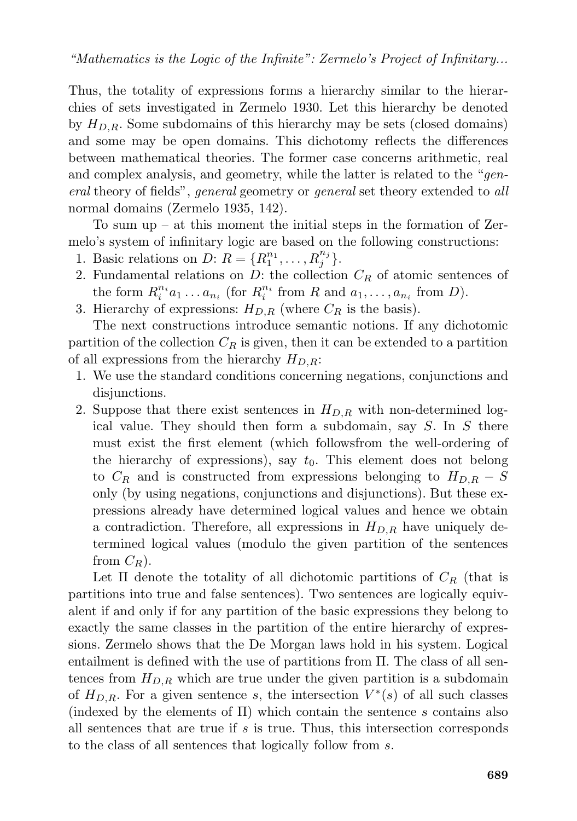Thus, the totality of expressions forms a hierarchy similar to the hierarchies of sets investigated in Zermelo 1930. Let this hierarchy be denoted by  $H_{D,R}$ . Some subdomains of this hierarchy may be sets (closed domains) and some may be open domains. This dichotomy reflects the differences between mathematical theories. The former case concerns arithmetic, real and complex analysis, and geometry, while the latter is related to the "*general* theory of fields", *general* geometry or *general* set theory extended to *all* normal domains (Zermelo 1935, 142).

To sum up – at this moment the initial steps in the formation of Zermelo's system of infinitary logic are based on the following constructions:

- 1. Basic relations on  $D: R = \{R_1^{n_1}, \ldots, R_j^{n_j}\}.$
- 2. Fundamental relations on  $D$ : the collection  $C_R$  of atomic sentences of the form  $R_i^{n_i} a_1 \ldots a_{n_i}$  (for  $R_i^{n_i}$  from R and  $a_1, \ldots, a_{n_i}$  from D).
- 3. Hierarchy of expressions:  $H_{D,R}$  (where  $C_R$  is the basis).

The next constructions introduce semantic notions. If any dichotomic partition of the collection  $C_R$  is given, then it can be extended to a partition of all expressions from the hierarchy  $H_{D,R}$ :

- 1. We use the standard conditions concerning negations, conjunctions and disjunctions.
- 2. Suppose that there exist sentences in  $H_{D,R}$  with non-determined logical value. They should then form a subdomain, say S. In S there must exist the first element (which followsfrom the well-ordering of the hierarchy of expressions), say  $t_0$ . This element does not belong to  $C_R$  and is constructed from expressions belonging to  $H_{D,R} - S$ only (by using negations, conjunctions and disjunctions). But these expressions already have determined logical values and hence we obtain a contradiction. Therefore, all expressions in  $H_{D,R}$  have uniquely determined logical values (modulo the given partition of the sentences from  $C_R$ ).

Let  $\Pi$  denote the totality of all dichotomic partitions of  $C_R$  (that is partitions into true and false sentences). Two sentences are logically equivalent if and only if for any partition of the basic expressions they belong to exactly the same classes in the partition of the entire hierarchy of expressions. Zermelo shows that the De Morgan laws hold in his system. Logical entailment is defined with the use of partitions from Π. The class of all sentences from  $H_{D,R}$  which are true under the given partition is a subdomain of  $H_{D,R}$ . For a given sentence s, the intersection  $V^*(s)$  of all such classes (indexed by the elements of  $\Pi$ ) which contain the sentence s contains also all sentences that are true if  $s$  is true. Thus, this intersection corresponds to the class of all sentences that logically follow from s.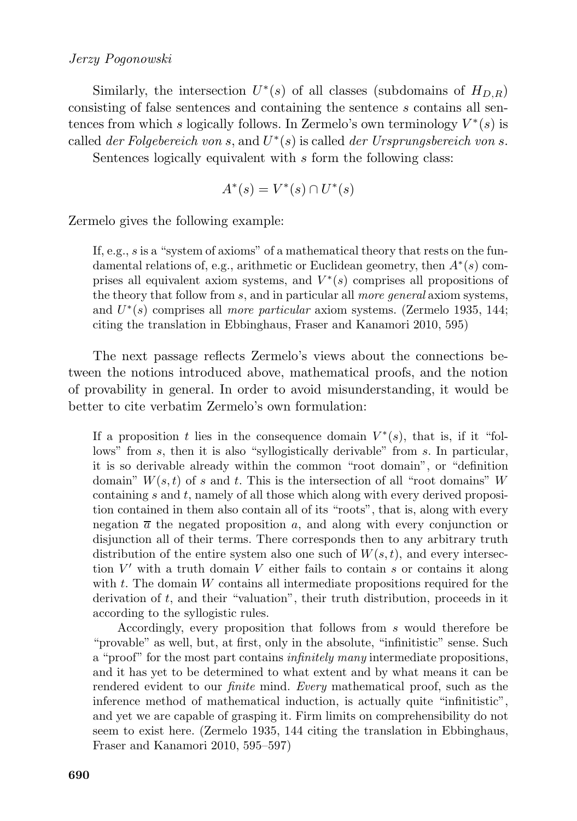### *Jerzy Pogonowski*

Similarly, the intersection  $U^*(s)$  of all classes (subdomains of  $H_{D,R}$ ) consisting of false sentences and containing the sentence s contains all sentences from which s logically follows. In Zermelo's own terminology  $V^*(s)$  is called *der Folgebereich von* s, and U ∗ (s) is called *der Ursprungsbereich von* s.

Sentences logically equivalent with s form the following class:

$$
A^*(s) = V^*(s) \cap U^*(s)
$$

Zermelo gives the following example:

If, e.g., s is a "system of axioms" of a mathematical theory that rests on the fundamental relations of, e.g., arithmetic or Euclidean geometry, then  $A^*(s)$  comprises all equivalent axiom systems, and  $V^*(s)$  comprises all propositions of the theory that follow from s, and in particular all *more general* axiom systems, and  $U^*(s)$  comprises all *more particular* axiom systems. (Zermelo 1935, 144; citing the translation in Ebbinghaus, Fraser and Kanamori 2010, 595)

The next passage reflects Zermelo's views about the connections between the notions introduced above, mathematical proofs, and the notion of provability in general. In order to avoid misunderstanding, it would be better to cite verbatim Zermelo's own formulation:

If a proposition t lies in the consequence domain  $V^*(s)$ , that is, if it "follows" from s, then it is also "syllogistically derivable" from s. In particular, it is so derivable already within the common "root domain", or "definition domain"  $W(s,t)$  of s and t. This is the intersection of all "root domains" W containing  $s$  and  $t$ , namely of all those which along with every derived proposition contained in them also contain all of its "roots", that is, along with every negation  $\bar{a}$  the negated proposition a, and along with every conjunction or disjunction all of their terms. There corresponds then to any arbitrary truth distribution of the entire system also one such of  $W(s, t)$ , and every intersection  $V'$  with a truth domain  $V$  either fails to contain  $s$  or contains it along with  $t$ . The domain  $W$  contains all intermediate propositions required for the derivation of t, and their "valuation", their truth distribution, proceeds in it according to the syllogistic rules.

Accordingly, every proposition that follows from s would therefore be "provable" as well, but, at first, only in the absolute, "infinitistic" sense. Such a "proof" for the most part contains *infinitely many* intermediate propositions, and it has yet to be determined to what extent and by what means it can be rendered evident to our *finite* mind. *Every* mathematical proof, such as the inference method of mathematical induction, is actually quite "infinitistic", and yet we are capable of grasping it. Firm limits on comprehensibility do not seem to exist here. (Zermelo 1935, 144 citing the translation in Ebbinghaus, Fraser and Kanamori 2010, 595–597)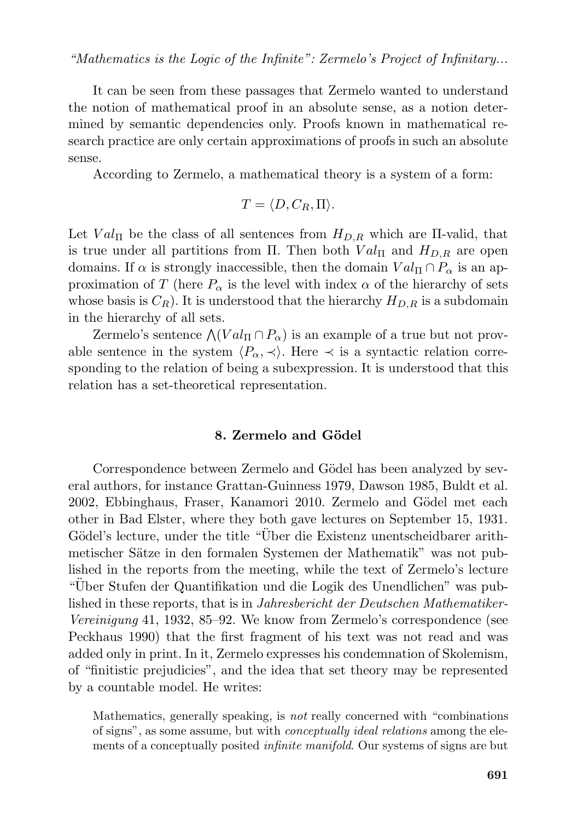It can be seen from these passages that Zermelo wanted to understand the notion of mathematical proof in an absolute sense, as a notion determined by semantic dependencies only. Proofs known in mathematical research practice are only certain approximations of proofs in such an absolute sense.

According to Zermelo, a mathematical theory is a system of a form:

$$
T = \langle D, C_R, \Pi \rangle.
$$

Let  $Val_{\Pi}$  be the class of all sentences from  $H_{D,R}$  which are  $\Pi$ -valid, that is true under all partitions from Π. Then both  $Val_{\Pi}$  and  $H_{D,R}$  are open domains. If  $\alpha$  is strongly inaccessible, then the domain  $Val_{\Pi} \cap P_{\alpha}$  is an approximation of T (here  $P_{\alpha}$  is the level with index  $\alpha$  of the hierarchy of sets whose basis is  $C_R$ ). It is understood that the hierarchy  $H_{D,R}$  is a subdomain in the hierarchy of all sets.

Zermelo's sentence  $\wedge (Val_{\Pi} \cap P_{\alpha})$  is an example of a true but not provable sentence in the system  $\langle P_{\alpha}, \prec \rangle$ . Here  $\prec$  is a syntactic relation corresponding to the relation of being a subexpression. It is understood that this relation has a set-theoretical representation.

#### **8. Zermelo and G¨odel**

Correspondence between Zermelo and Gödel has been analyzed by several authors, for instance Grattan-Guinness 1979, Dawson 1985, Buldt et al. 2002, Ebbinghaus, Fraser, Kanamori 2010. Zermelo and Gödel met each other in Bad Elster, where they both gave lectures on September 15, 1931. Gödel's lecture, under the title "Über die Existenz unentscheidbarer arithmetischer Sätze in den formalen Systemen der Mathematik" was not published in the reports from the meeting, while the text of Zermelo's lecture "Uber Stufen der Quantifikation und die Logik des Unendlichen" was published in these reports, that is in *Jahresbericht der Deutschen Mathematiker-Vereinigung* 41, 1932, 85–92. We know from Zermelo's correspondence (see Peckhaus 1990) that the first fragment of his text was not read and was added only in print. In it, Zermelo expresses his condemnation of Skolemism, of "finitistic prejudicies", and the idea that set theory may be represented by a countable model. He writes:

Mathematics, generally speaking, is *not* really concerned with "combinations of signs", as some assume, but with *conceptually ideal relations* among the elements of a conceptually posited *infinite manifold*. Our systems of signs are but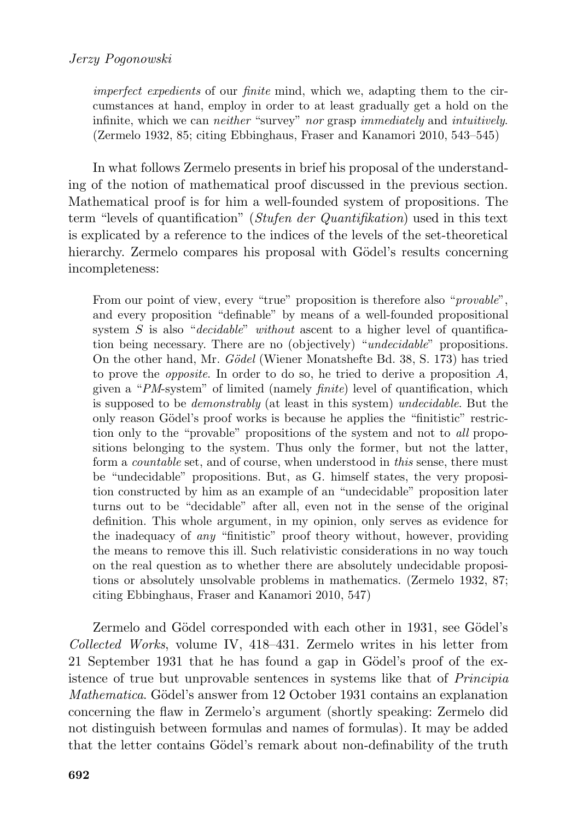*imperfect expedients* of our *finite* mind, which we, adapting them to the circumstances at hand, employ in order to at least gradually get a hold on the infinite, which we can *neither* "survey" *nor* grasp *immediately* and *intuitively*. (Zermelo 1932, 85; citing Ebbinghaus, Fraser and Kanamori 2010, 543–545)

In what follows Zermelo presents in brief his proposal of the understanding of the notion of mathematical proof discussed in the previous section. Mathematical proof is for him a well-founded system of propositions. The term "levels of quantification" (*Stufen der Quantifikation*) used in this text is explicated by a reference to the indices of the levels of the set-theoretical hierarchy. Zermelo compares his proposal with Gödel's results concerning incompleteness:

From our point of view, every "true" proposition is therefore also "*provable*", and every proposition "definable" by means of a well-founded propositional system S is also "*decidable*" *without* ascent to a higher level of quantification being necessary. There are no (objectively) "*undecidable*" propositions. On the other hand, Mr. *G¨odel* (Wiener Monatshefte Bd. 38, S. 173) has tried to prove the *opposite*. In order to do so, he tried to derive a proposition A, given a "*PM*-system" of limited (namely *finite*) level of quantification, which is supposed to be *demonstrably* (at least in this system) *undecidable*. But the only reason Gödel's proof works is because he applies the "finitistic" restriction only to the "provable" propositions of the system and not to *all* propositions belonging to the system. Thus only the former, but not the latter, form a *countable* set, and of course, when understood in *this* sense, there must be "undecidable" propositions. But, as G. himself states, the very proposition constructed by him as an example of an "undecidable" proposition later turns out to be "decidable" after all, even not in the sense of the original definition. This whole argument, in my opinion, only serves as evidence for the inadequacy of *any* "finitistic" proof theory without, however, providing the means to remove this ill. Such relativistic considerations in no way touch on the real question as to whether there are absolutely undecidable propositions or absolutely unsolvable problems in mathematics. (Zermelo 1932, 87; citing Ebbinghaus, Fraser and Kanamori 2010, 547)

Zermelo and Gödel corresponded with each other in 1931, see Gödel's *Collected Works*, volume IV, 418–431. Zermelo writes in his letter from 21 September 1931 that he has found a gap in Gödel's proof of the existence of true but unprovable sentences in systems like that of *Principia Mathematica*. Gödel's answer from 12 October 1931 contains an explanation concerning the flaw in Zermelo's argument (shortly speaking: Zermelo did not distinguish between formulas and names of formulas). It may be added that the letter contains Gödel's remark about non-definability of the truth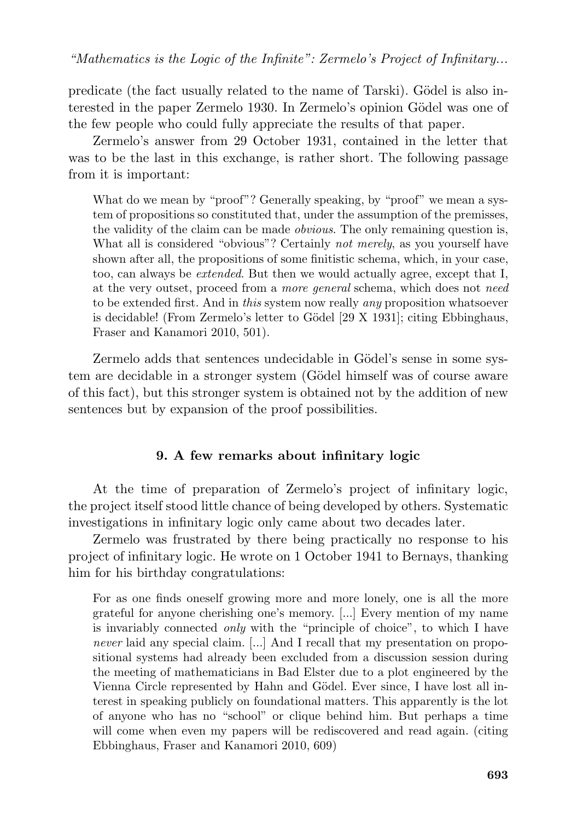predicate (the fact usually related to the name of Tarski). Gödel is also interested in the paper Zermelo 1930. In Zermelo's opinion Gödel was one of the few people who could fully appreciate the results of that paper.

Zermelo's answer from 29 October 1931, contained in the letter that was to be the last in this exchange, is rather short. The following passage from it is important:

What do we mean by "proof"? Generally speaking, by "proof" we mean a system of propositions so constituted that, under the assumption of the premisses, the validity of the claim can be made *obvious*. The only remaining question is, What all is considered "obvious"? Certainly *not merely*, as you yourself have shown after all, the propositions of some finitistic schema, which, in your case, too, can always be *extended*. But then we would actually agree, except that I, at the very outset, proceed from a *more general* schema, which does not *need* to be extended first. And in *this* system now really *any* proposition whatsoever is decidable! (From Zermelo's letter to Gödel [29 X 1931]; citing Ebbinghaus, Fraser and Kanamori 2010, 501).

Zermelo adds that sentences undecidable in Gödel's sense in some system are decidable in a stronger system (Gödel himself was of course aware of this fact), but this stronger system is obtained not by the addition of new sentences but by expansion of the proof possibilities.

## **9. A few remarks about infinitary logic**

At the time of preparation of Zermelo's project of infinitary logic, the project itself stood little chance of being developed by others. Systematic investigations in infinitary logic only came about two decades later.

Zermelo was frustrated by there being practically no response to his project of infinitary logic. He wrote on 1 October 1941 to Bernays, thanking him for his birthday congratulations:

For as one finds oneself growing more and more lonely, one is all the more grateful for anyone cherishing one's memory. [...] Every mention of my name is invariably connected *only* with the "principle of choice", to which I have *never* laid any special claim. [...] And I recall that my presentation on propositional systems had already been excluded from a discussion session during the meeting of mathematicians in Bad Elster due to a plot engineered by the Vienna Circle represented by Hahn and Gödel. Ever since, I have lost all interest in speaking publicly on foundational matters. This apparently is the lot of anyone who has no "school" or clique behind him. But perhaps a time will come when even my papers will be rediscovered and read again. (citing Ebbinghaus, Fraser and Kanamori 2010, 609)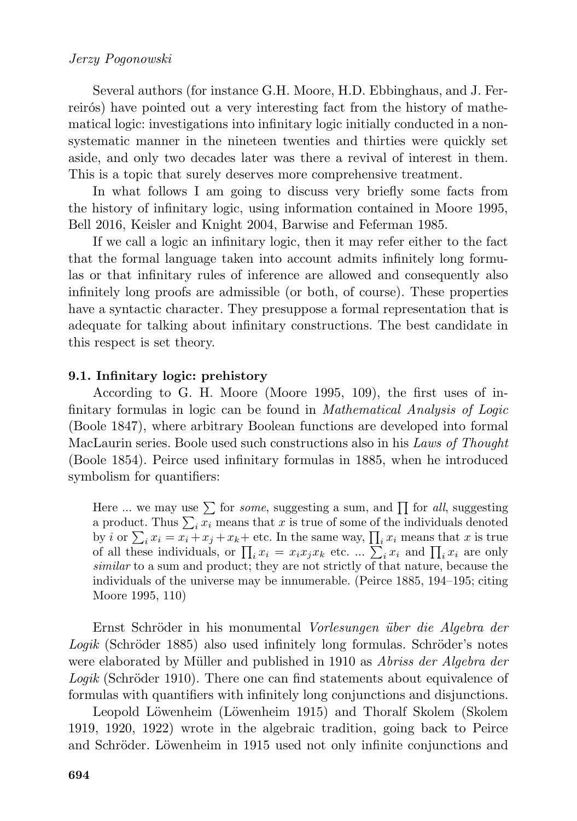### *Jerzy Pogonowski*

Several authors (for instance G.H. Moore, H.D. Ebbinghaus, and J. Ferreirós) have pointed out a very interesting fact from the history of mathematical logic: investigations into infinitary logic initially conducted in a nonsystematic manner in the nineteen twenties and thirties were quickly set aside, and only two decades later was there a revival of interest in them. This is a topic that surely deserves more comprehensive treatment.

In what follows I am going to discuss very briefly some facts from the history of infinitary logic, using information contained in Moore 1995, Bell 2016, Keisler and Knight 2004, Barwise and Feferman 1985.

If we call a logic an infinitary logic, then it may refer either to the fact that the formal language taken into account admits infinitely long formulas or that infinitary rules of inference are allowed and consequently also infinitely long proofs are admissible (or both, of course). These properties have a syntactic character. They presuppose a formal representation that is adequate for talking about infinitary constructions. The best candidate in this respect is set theory.

#### **9.1. Infinitary logic: prehistory**

According to G. H. Moore (Moore 1995, 109), the first uses of infinitary formulas in logic can be found in *Mathematical Analysis of Logic* (Boole 1847), where arbitrary Boolean functions are developed into formal MacLaurin series. Boole used such constructions also in his *Laws of Thought* (Boole 1854). Peirce used infinitary formulas in 1885, when he introduced symbolism for quantifiers:

Here ... we may use  $\sum$  for *some*, suggesting a sum, and  $\prod$  for *all*, suggesting a product. Thus  $\sum_i x_i$  means that x is true of some of the individuals denoted by *i* or  $\sum_i x_i = x_i + x_j + x_k$  etc. In the same way,  $\prod_i x_i$  means that *x* is true of all these individuals, or  $\prod_i x_i = x_i x_j x_k$  etc. ...  $\sum_i x_i$  and  $\prod_i x_i$  are only *similar* to a sum and product; they are not strictly of that nature, because the individuals of the universe may be innumerable. (Peirce 1885, 194–195; citing Moore 1995, 110)

Ernst Schr¨oder in his monumental *Vorlesungen ¨uber die Algebra der Logik* (Schröder 1885) also used infinitely long formulas. Schröder's notes were elaborated by Müller and published in 1910 as *Abriss der Algebra der Logik* (Schröder 1910). There one can find statements about equivalence of formulas with quantifiers with infinitely long conjunctions and disjunctions.

Leopold Löwenheim (Löwenheim 1915) and Thoralf Skolem (Skolem 1919, 1920, 1922) wrote in the algebraic tradition, going back to Peirce and Schröder. Löwenheim in 1915 used not only infinite conjunctions and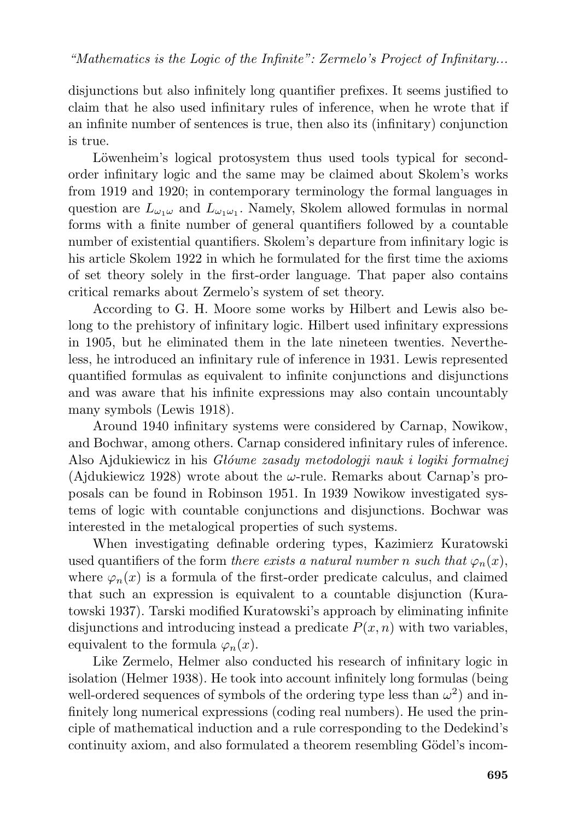disjunctions but also infinitely long quantifier prefixes. It seems justified to claim that he also used infinitary rules of inference, when he wrote that if an infinite number of sentences is true, then also its (infinitary) conjunction is true.

Löwenheim's logical protosystem thus used tools typical for secondorder infinitary logic and the same may be claimed about Skolem's works from 1919 and 1920; in contemporary terminology the formal languages in question are  $L_{\omega_1\omega}$  and  $L_{\omega_1\omega_1}$ . Namely, Skolem allowed formulas in normal forms with a finite number of general quantifiers followed by a countable number of existential quantifiers. Skolem's departure from infinitary logic is his article Skolem 1922 in which he formulated for the first time the axioms of set theory solely in the first-order language. That paper also contains critical remarks about Zermelo's system of set theory.

According to G. H. Moore some works by Hilbert and Lewis also belong to the prehistory of infinitary logic. Hilbert used infinitary expressions in 1905, but he eliminated them in the late nineteen twenties. Nevertheless, he introduced an infinitary rule of inference in 1931. Lewis represented quantified formulas as equivalent to infinite conjunctions and disjunctions and was aware that his infinite expressions may also contain uncountably many symbols (Lewis 1918).

Around 1940 infinitary systems were considered by Carnap, Nowikow, and Bochwar, among others. Carnap considered infinitary rules of inference. Also Ajdukiewicz in his *Główne zasady metodologji nauk i logiki formalnej* (Ajdukiewicz 1928) wrote about the  $\omega$ -rule. Remarks about Carnap's proposals can be found in Robinson 1951. In 1939 Nowikow investigated systems of logic with countable conjunctions and disjunctions. Bochwar was interested in the metalogical properties of such systems.

When investigating definable ordering types, Kazimierz Kuratowski used quantifiers of the form *there exists a natural number* n *such that*  $\varphi_n(x)$ , where  $\varphi_n(x)$  is a formula of the first-order predicate calculus, and claimed that such an expression is equivalent to a countable disjunction (Kuratowski 1937). Tarski modified Kuratowski's approach by eliminating infinite disjunctions and introducing instead a predicate  $P(x, n)$  with two variables, equivalent to the formula  $\varphi_n(x)$ .

Like Zermelo, Helmer also conducted his research of infinitary logic in isolation (Helmer 1938). He took into account infinitely long formulas (being well-ordered sequences of symbols of the ordering type less than  $\omega^2$ ) and infinitely long numerical expressions (coding real numbers). He used the principle of mathematical induction and a rule corresponding to the Dedekind's continuity axiom, and also formulated a theorem resembling Gödel's incom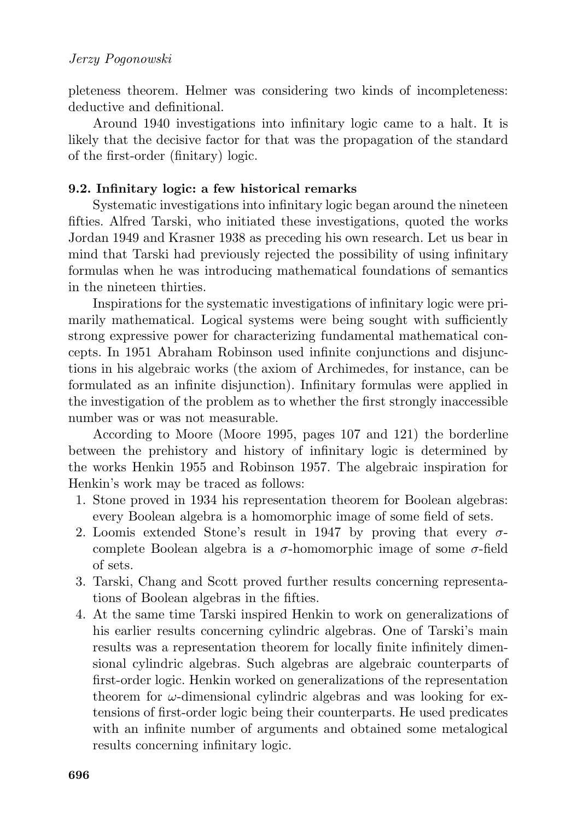pleteness theorem. Helmer was considering two kinds of incompleteness: deductive and definitional.

Around 1940 investigations into infinitary logic came to a halt. It is likely that the decisive factor for that was the propagation of the standard of the first-order (finitary) logic.

### **9.2. Infinitary logic: a few historical remarks**

Systematic investigations into infinitary logic began around the nineteen fifties. Alfred Tarski, who initiated these investigations, quoted the works Jordan 1949 and Krasner 1938 as preceding his own research. Let us bear in mind that Tarski had previously rejected the possibility of using infinitary formulas when he was introducing mathematical foundations of semantics in the nineteen thirties.

Inspirations for the systematic investigations of infinitary logic were primarily mathematical. Logical systems were being sought with sufficiently strong expressive power for characterizing fundamental mathematical concepts. In 1951 Abraham Robinson used infinite conjunctions and disjunctions in his algebraic works (the axiom of Archimedes, for instance, can be formulated as an infinite disjunction). Infinitary formulas were applied in the investigation of the problem as to whether the first strongly inaccessible number was or was not measurable.

According to Moore (Moore 1995, pages 107 and 121) the borderline between the prehistory and history of infinitary logic is determined by the works Henkin 1955 and Robinson 1957. The algebraic inspiration for Henkin's work may be traced as follows:

- 1. Stone proved in 1934 his representation theorem for Boolean algebras: every Boolean algebra is a homomorphic image of some field of sets.
- 2. Loomis extended Stone's result in 1947 by proving that every  $\sigma$ complete Boolean algebra is a  $\sigma$ -homomorphic image of some  $\sigma$ -field of sets.
- 3. Tarski, Chang and Scott proved further results concerning representations of Boolean algebras in the fifties.
- 4. At the same time Tarski inspired Henkin to work on generalizations of his earlier results concerning cylindric algebras. One of Tarski's main results was a representation theorem for locally finite infinitely dimensional cylindric algebras. Such algebras are algebraic counterparts of first-order logic. Henkin worked on generalizations of the representation theorem for  $\omega$ -dimensional cylindric algebras and was looking for extensions of first-order logic being their counterparts. He used predicates with an infinite number of arguments and obtained some metalogical results concerning infinitary logic.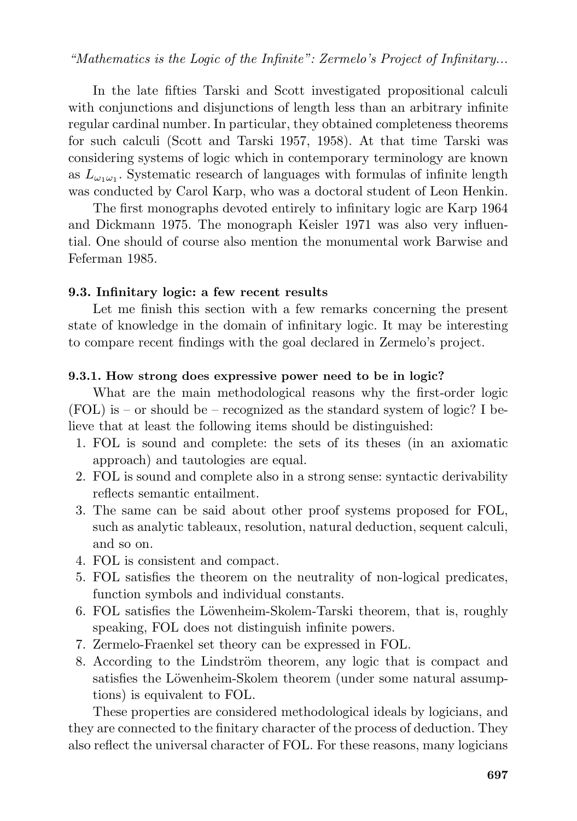In the late fifties Tarski and Scott investigated propositional calculi with conjunctions and disjunctions of length less than an arbitrary infinite regular cardinal number. In particular, they obtained completeness theorems for such calculi (Scott and Tarski 1957, 1958). At that time Tarski was considering systems of logic which in contemporary terminology are known as  $L_{\omega_1\omega_1}$ . Systematic research of languages with formulas of infinite length was conducted by Carol Karp, who was a doctoral student of Leon Henkin.

The first monographs devoted entirely to infinitary logic are Karp 1964 and Dickmann 1975. The monograph Keisler 1971 was also very influential. One should of course also mention the monumental work Barwise and Feferman 1985.

### **9.3. Infinitary logic: a few recent results**

Let me finish this section with a few remarks concerning the present state of knowledge in the domain of infinitary logic. It may be interesting to compare recent findings with the goal declared in Zermelo's project.

### **9.3.1. How strong does expressive power need to be in logic?**

What are the main methodological reasons why the first-order logic  $(FOL)$  is – or should be – recognized as the standard system of logic? I believe that at least the following items should be distinguished:

- 1. FOL is sound and complete: the sets of its theses (in an axiomatic approach) and tautologies are equal.
- 2. FOL is sound and complete also in a strong sense: syntactic derivability reflects semantic entailment.
- 3. The same can be said about other proof systems proposed for FOL, such as analytic tableaux, resolution, natural deduction, sequent calculi, and so on.
- 4. FOL is consistent and compact.
- 5. FOL satisfies the theorem on the neutrality of non-logical predicates, function symbols and individual constants.
- 6. FOL satisfies the Löwenheim-Skolem-Tarski theorem, that is, roughly speaking, FOL does not distinguish infinite powers.
- 7. Zermelo-Fraenkel set theory can be expressed in FOL.
- 8. According to the Lindström theorem, any logic that is compact and satisfies the Löwenheim-Skolem theorem (under some natural assumptions) is equivalent to FOL.

These properties are considered methodological ideals by logicians, and they are connected to the finitary character of the process of deduction. They also reflect the universal character of FOL. For these reasons, many logicians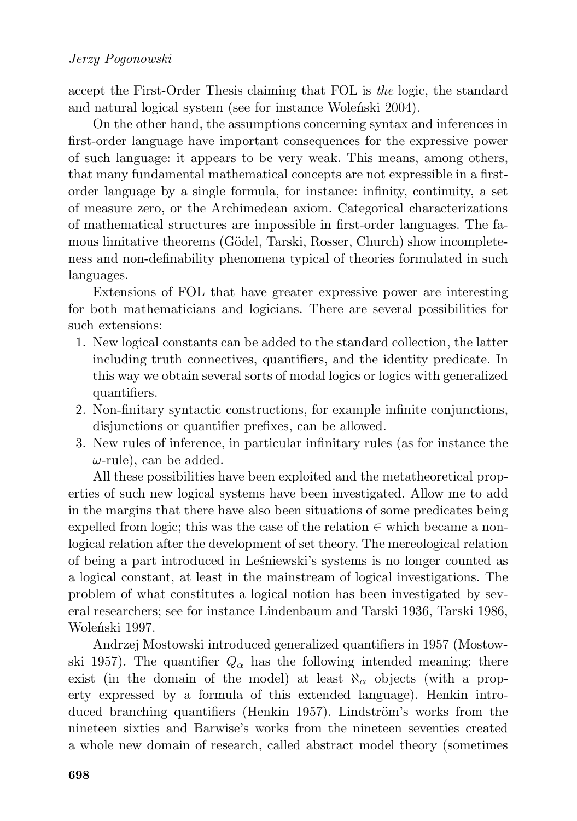accept the First-Order Thesis claiming that FOL is *the* logic, the standard and natural logical system (see for instance Woleński 2004).

On the other hand, the assumptions concerning syntax and inferences in first-order language have important consequences for the expressive power of such language: it appears to be very weak. This means, among others, that many fundamental mathematical concepts are not expressible in a firstorder language by a single formula, for instance: infinity, continuity, a set of measure zero, or the Archimedean axiom. Categorical characterizations of mathematical structures are impossible in first-order languages. The famous limitative theorems (Gödel, Tarski, Rosser, Church) show incompleteness and non-definability phenomena typical of theories formulated in such languages.

Extensions of FOL that have greater expressive power are interesting for both mathematicians and logicians. There are several possibilities for such extensions:

- 1. New logical constants can be added to the standard collection, the latter including truth connectives, quantifiers, and the identity predicate. In this way we obtain several sorts of modal logics or logics with generalized quantifiers.
- 2. Non-finitary syntactic constructions, for example infinite conjunctions, disjunctions or quantifier prefixes, can be allowed.
- 3. New rules of inference, in particular infinitary rules (as for instance the  $\omega$ -rule), can be added.

All these possibilities have been exploited and the metatheoretical properties of such new logical systems have been investigated. Allow me to add in the margins that there have also been situations of some predicates being expelled from logic; this was the case of the relation  $\in$  which became a nonlogical relation after the development of set theory. The mereological relation of being a part introduced in Leśniewski's systems is no longer counted as a logical constant, at least in the mainstream of logical investigations. The problem of what constitutes a logical notion has been investigated by several researchers; see for instance Lindenbaum and Tarski 1936, Tarski 1986, Woleński 1997.

Andrzej Mostowski introduced generalized quantifiers in 1957 (Mostowski 1957). The quantifier  $Q_{\alpha}$  has the following intended meaning: there exist (in the domain of the model) at least  $\aleph_{\alpha}$  objects (with a property expressed by a formula of this extended language). Henkin introduced branching quantifiers (Henkin 1957). Lindström's works from the nineteen sixties and Barwise's works from the nineteen seventies created a whole new domain of research, called abstract model theory (sometimes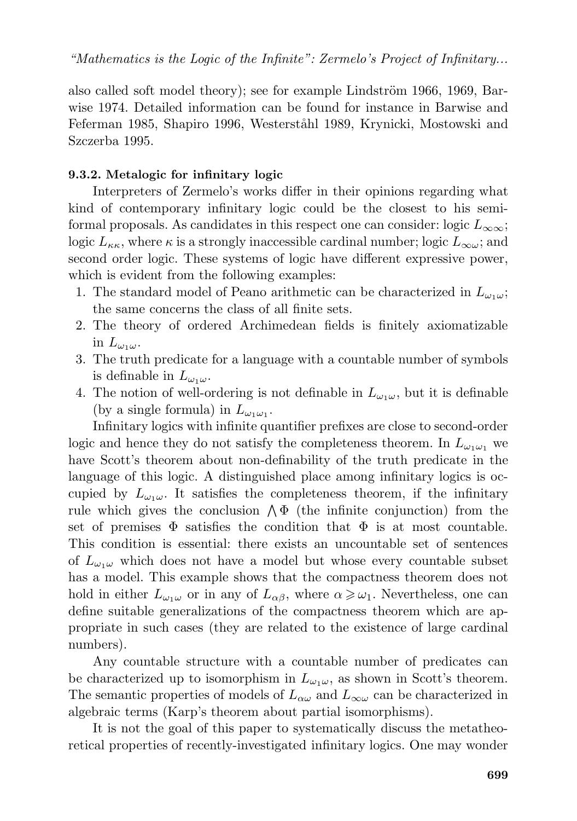also called soft model theory); see for example Lindström 1966, 1969, Barwise 1974. Detailed information can be found for instance in Barwise and Feferman 1985, Shapiro 1996, Westerståhl 1989, Krynicki, Mostowski and Szczerba 1995.

#### **9.3.2. Metalogic for infinitary logic**

Interpreters of Zermelo's works differ in their opinions regarding what kind of contemporary infinitary logic could be the closest to his semiformal proposals. As candidates in this respect one can consider: logic  $L_{\infty\infty}$ ; logic  $L_{\kappa\kappa}$ , where  $\kappa$  is a strongly inaccessible cardinal number; logic  $L_{\infty\omega}$ ; and second order logic. These systems of logic have different expressive power, which is evident from the following examples:

- 1. The standard model of Peano arithmetic can be characterized in  $L_{\omega_1\omega}$ ; the same concerns the class of all finite sets.
- 2. The theory of ordered Archimedean fields is finitely axiomatizable in  $L_{\omega_1\omega}$ .
- 3. The truth predicate for a language with a countable number of symbols is definable in  $L_{\omega_1\omega}$ .
- 4. The notion of well-ordering is not definable in  $L_{\omega_1\omega}$ , but it is definable (by a single formula) in  $L_{\omega_1\omega_1}$ .

Infinitary logics with infinite quantifier prefixes are close to second-order logic and hence they do not satisfy the completeness theorem. In  $L_{\omega_1\omega_1}$  we have Scott's theorem about non-definability of the truth predicate in the language of this logic. A distinguished place among infinitary logics is occupied by  $L_{\omega_1\omega}$ . It satisfies the completeness theorem, if the infinitary rule which gives the conclusion  $\Lambda \Phi$  (the infinite conjunction) from the set of premises  $\Phi$  satisfies the condition that  $\Phi$  is at most countable. This condition is essential: there exists an uncountable set of sentences of  $L_{\omega_1\omega}$  which does not have a model but whose every countable subset has a model. This example shows that the compactness theorem does not hold in either  $L_{\omega_1\omega}$  or in any of  $L_{\alpha\beta}$ , where  $\alpha \geq \omega_1$ . Nevertheless, one can define suitable generalizations of the compactness theorem which are appropriate in such cases (they are related to the existence of large cardinal numbers).

Any countable structure with a countable number of predicates can be characterized up to isomorphism in  $L_{\omega_1\omega}$ , as shown in Scott's theorem. The semantic properties of models of  $L_{\alpha\omega}$  and  $L_{\infty\omega}$  can be characterized in algebraic terms (Karp's theorem about partial isomorphisms).

It is not the goal of this paper to systematically discuss the metatheoretical properties of recently-investigated infinitary logics. One may wonder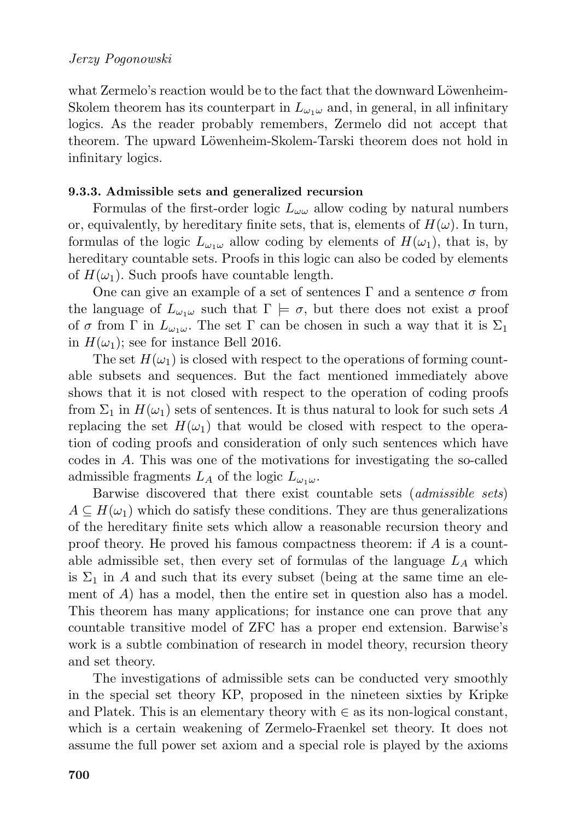what Zermelo's reaction would be to the fact that the downward Löwenheim-Skolem theorem has its counterpart in  $L_{\omega_1\omega}$  and, in general, in all infinitary logics. As the reader probably remembers, Zermelo did not accept that theorem. The upward Löwenheim-Skolem-Tarski theorem does not hold in infinitary logics.

### **9.3.3. Admissible sets and generalized recursion**

Formulas of the first-order logic  $L_{\omega\omega}$  allow coding by natural numbers or, equivalently, by hereditary finite sets, that is, elements of  $H(\omega)$ . In turn, formulas of the logic  $L_{\omega_1\omega}$  allow coding by elements of  $H(\omega_1)$ , that is, by hereditary countable sets. Proofs in this logic can also be coded by elements of  $H(\omega_1)$ . Such proofs have countable length.

One can give an example of a set of sentences  $\Gamma$  and a sentence  $\sigma$  from the language of  $L_{\omega_1\omega}$  such that  $\Gamma \models \sigma$ , but there does not exist a proof of  $\sigma$  from  $\Gamma$  in  $L_{\omega_1\omega}$ . The set  $\Gamma$  can be chosen in such a way that it is  $\Sigma_1$ in  $H(\omega_1)$ ; see for instance Bell 2016.

The set  $H(\omega_1)$  is closed with respect to the operations of forming countable subsets and sequences. But the fact mentioned immediately above shows that it is not closed with respect to the operation of coding proofs from  $\Sigma_1$  in  $H(\omega_1)$  sets of sentences. It is thus natural to look for such sets A replacing the set  $H(\omega_1)$  that would be closed with respect to the operation of coding proofs and consideration of only such sentences which have codes in A. This was one of the motivations for investigating the so-called admissible fragments  $L_A$  of the logic  $L_{\omega_1\omega}$ .

Barwise discovered that there exist countable sets (*admissible sets*)  $A \subseteq H(\omega_1)$  which do satisfy these conditions. They are thus generalizations of the hereditary finite sets which allow a reasonable recursion theory and proof theory. He proved his famous compactness theorem: if A is a countable admissible set, then every set of formulas of the language  $L_A$  which is  $\Sigma_1$  in A and such that its every subset (being at the same time an element of  $A$ ) has a model, then the entire set in question also has a model. This theorem has many applications; for instance one can prove that any countable transitive model of ZFC has a proper end extension. Barwise's work is a subtle combination of research in model theory, recursion theory and set theory.

The investigations of admissible sets can be conducted very smoothly in the special set theory KP, proposed in the nineteen sixties by Kripke and Platek. This is an elementary theory with  $\in$  as its non-logical constant, which is a certain weakening of Zermelo-Fraenkel set theory. It does not assume the full power set axiom and a special role is played by the axioms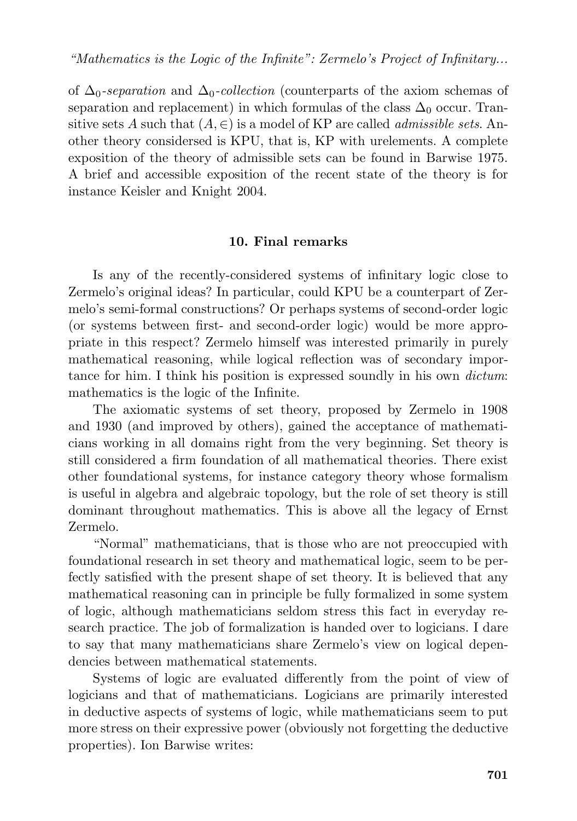of ∆0*-separation* and ∆0*-collection* (counterparts of the axiom schemas of separation and replacement) in which formulas of the class  $\Delta_0$  occur. Transitive sets A such that  $(A, \in)$  is a model of KP are called *admissible sets*. Another theory considersed is KPU, that is, KP with urelements. A complete exposition of the theory of admissible sets can be found in Barwise 1975. A brief and accessible exposition of the recent state of the theory is for instance Keisler and Knight 2004.

### **10. Final remarks**

Is any of the recently-considered systems of infinitary logic close to Zermelo's original ideas? In particular, could KPU be a counterpart of Zermelo's semi-formal constructions? Or perhaps systems of second-order logic (or systems between first- and second-order logic) would be more appropriate in this respect? Zermelo himself was interested primarily in purely mathematical reasoning, while logical reflection was of secondary importance for him. I think his position is expressed soundly in his own *dictum*: mathematics is the logic of the Infinite.

The axiomatic systems of set theory, proposed by Zermelo in 1908 and 1930 (and improved by others), gained the acceptance of mathematicians working in all domains right from the very beginning. Set theory is still considered a firm foundation of all mathematical theories. There exist other foundational systems, for instance category theory whose formalism is useful in algebra and algebraic topology, but the role of set theory is still dominant throughout mathematics. This is above all the legacy of Ernst Zermelo.

"Normal" mathematicians, that is those who are not preoccupied with foundational research in set theory and mathematical logic, seem to be perfectly satisfied with the present shape of set theory. It is believed that any mathematical reasoning can in principle be fully formalized in some system of logic, although mathematicians seldom stress this fact in everyday research practice. The job of formalization is handed over to logicians. I dare to say that many mathematicians share Zermelo's view on logical dependencies between mathematical statements.

Systems of logic are evaluated differently from the point of view of logicians and that of mathematicians. Logicians are primarily interested in deductive aspects of systems of logic, while mathematicians seem to put more stress on their expressive power (obviously not forgetting the deductive properties). Ion Barwise writes: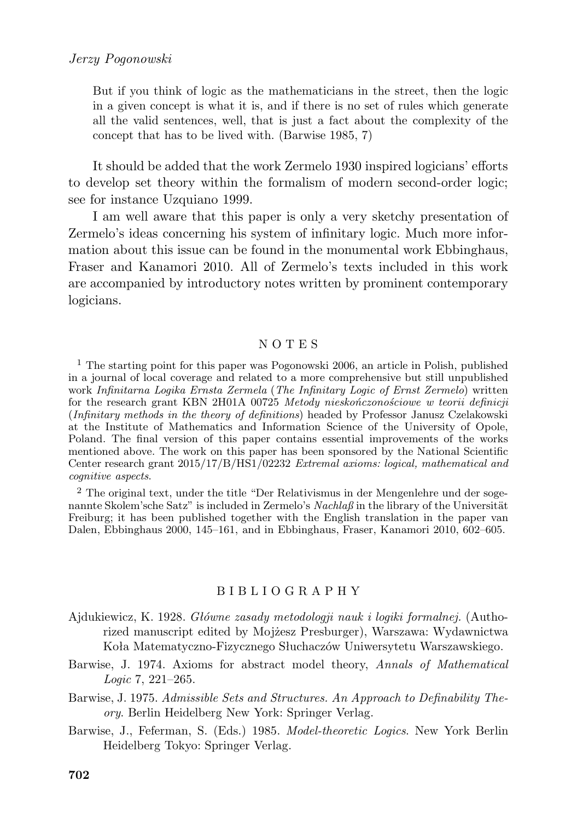But if you think of logic as the mathematicians in the street, then the logic in a given concept is what it is, and if there is no set of rules which generate all the valid sentences, well, that is just a fact about the complexity of the concept that has to be lived with. (Barwise 1985, 7)

It should be added that the work Zermelo 1930 inspired logicians' efforts to develop set theory within the formalism of modern second-order logic; see for instance Uzquiano 1999.

I am well aware that this paper is only a very sketchy presentation of Zermelo's ideas concerning his system of infinitary logic. Much more information about this issue can be found in the monumental work Ebbinghaus, Fraser and Kanamori 2010. All of Zermelo's texts included in this work are accompanied by introductory notes written by prominent contemporary logicians.

#### N O T E S

<sup>1</sup> The starting point for this paper was Pogonowski 2006, an article in Polish, published in a journal of local coverage and related to a more comprehensive but still unpublished work *Infinitarna Logika Ernsta Zermela* (*The Infinitary Logic of Ernst Zermelo*) written for the research grant KBN 2H01A 00725 *Metody nieskończonościowe w teorii definicji* (*Infinitary methods in the theory of definitions*) headed by Professor Janusz Czelakowski at the Institute of Mathematics and Information Science of the University of Opole, Poland. The final version of this paper contains essential improvements of the works mentioned above. The work on this paper has been sponsored by the National Scientific Center research grant 2015/17/B/HS1/02232 *Extremal axioms: logical, mathematical and cognitive aspects*.

<sup>2</sup> The original text, under the title "Der Relativismus in der Mengenlehre und der sogenannte Skolem'sche Satz" is included in Zermelo's *Nachlaß* in the library of the Universität Freiburg; it has been published together with the English translation in the paper van Dalen, Ebbinghaus 2000, 145–161, and in Ebbinghaus, Fraser, Kanamori 2010, 602–605.

#### B I B L I O G R A P H Y

- Ajdukiewicz, K. 1928. *Główne zasady metodologji nauk i logiki formalnej.* (Authorized manuscript edited by Mojżesz Presburger), Warszawa: Wydawnictwa Koła Matematyczno-Fizycznego Słuchaczów Uniwersytetu Warszawskiego.
- Barwise, J. 1974. Axioms for abstract model theory, *Annals of Mathematical Logic* 7, 221–265.
- Barwise, J. 1975. *Admissible Sets and Structures. An Approach to Definability Theory*. Berlin Heidelberg New York: Springer Verlag.
- Barwise, J., Feferman, S. (Eds.) 1985. *Model-theoretic Logics*. New York Berlin Heidelberg Tokyo: Springer Verlag.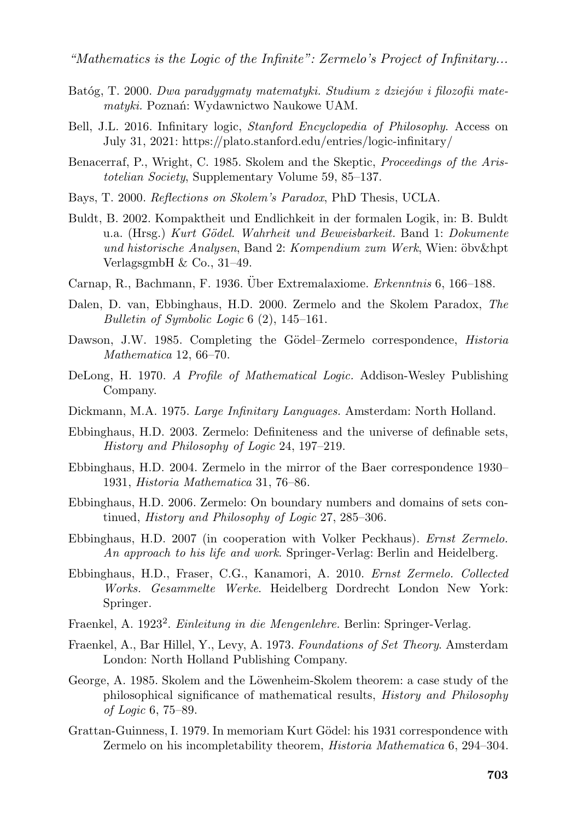- Batóg, T. 2000. *Dwa paradygmaty matematyki. Studium z dziejów i filozofii matematyki.* Poznań: Wydawnictwo Naukowe UAM.
- Bell, J.L. 2016. Infinitary logic, *Stanford Encyclopedia of Philosophy*. Access on July 31, 2021: https://plato.stanford.edu/entries/logic-infinitary/
- Benacerraf, P., Wright, C. 1985. Skolem and the Skeptic, *Proceedings of the Aristotelian Society*, Supplementary Volume 59, 85–137.
- Bays, T. 2000. *Reflections on Skolem's Paradox*, PhD Thesis, UCLA.
- Buldt, B. 2002. Kompaktheit und Endlichkeit in der formalen Logik, in: B. Buldt u.a. (Hrsg.) *Kurt G¨odel. Wahrheit und Beweisbarkeit.* Band 1: *Dokumente und historische Analysen*, Band 2: *Kompendium zum Werk*, Wien: ¨obv&hpt VerlagsgmbH & Co., 31–49.
- Carnap, R., Bachmann, F. 1936. Über Extremalaxiome. *Erkenntnis* 6, 166–188.
- Dalen, D. van, Ebbinghaus, H.D. 2000. Zermelo and the Skolem Paradox, *The Bulletin of Symbolic Logic* 6 (2), 145–161.
- Dawson, J.W. 1985. Completing the Gödel–Zermelo correspondence, *Historia Mathematica* 12, 66–70.
- DeLong, H. 1970. *A Profile of Mathematical Logic.* Addison-Wesley Publishing Company.
- Dickmann, M.A. 1975. *Large Infinitary Languages.* Amsterdam: North Holland.
- Ebbinghaus, H.D. 2003. Zermelo: Definiteness and the universe of definable sets, *History and Philosophy of Logic* 24, 197–219.
- Ebbinghaus, H.D. 2004. Zermelo in the mirror of the Baer correspondence 1930– 1931, *Historia Mathematica* 31, 76–86.
- Ebbinghaus, H.D. 2006. Zermelo: On boundary numbers and domains of sets continued, *History and Philosophy of Logic* 27, 285–306.
- Ebbinghaus, H.D. 2007 (in cooperation with Volker Peckhaus). *Ernst Zermelo. An approach to his life and work*. Springer-Verlag: Berlin and Heidelberg.
- Ebbinghaus, H.D., Fraser, C.G., Kanamori, A. 2010. *Ernst Zermelo. Collected Works. Gesammelte Werke*. Heidelberg Dordrecht London New York: Springer.
- Fraenkel, A. 1923<sup>2</sup> . *Einleitung in die Mengenlehre.* Berlin: Springer-Verlag.
- Fraenkel, A., Bar Hillel, Y., Levy, A. 1973. *Foundations of Set Theory*. Amsterdam London: North Holland Publishing Company.
- George, A. 1985. Skolem and the Löwenheim-Skolem theorem: a case study of the philosophical significance of mathematical results, *History and Philosophy of Logic* 6, 75–89.
- Grattan-Guinness, I. 1979. In memoriam Kurt Gödel: his 1931 correspondence with Zermelo on his incompletability theorem, *Historia Mathematica* 6, 294–304.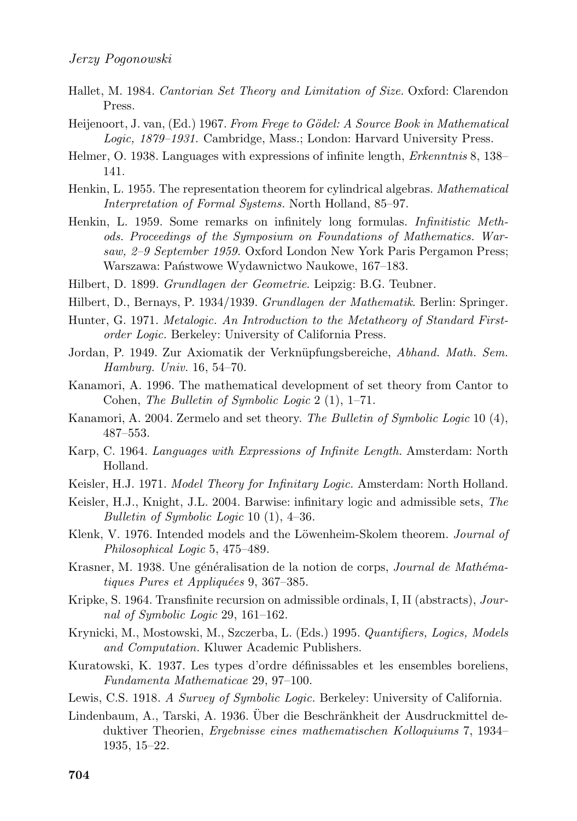- Hallet, M. 1984. *Cantorian Set Theory and Limitation of Size.* Oxford: Clarendon Press.
- Heijenoort, J. van, (Ed.) 1967. *From Frege to Gödel: A Source Book in Mathematical Logic, 1879–1931.* Cambridge, Mass.; London: Harvard University Press.
- Helmer, O. 1938. Languages with expressions of infinite length, *Erkenntnis* 8, 138– 141.
- Henkin, L. 1955. The representation theorem for cylindrical algebras. *Mathematical Interpretation of Formal Systems.* North Holland, 85–97.
- Henkin, L. 1959. Some remarks on infinitely long formulas. *Infinitistic Methods. Proceedings of the Symposium on Foundations of Mathematics. Warsaw, 2–9 September 1959.* Oxford London New York Paris Pergamon Press; Warszawa: Państwowe Wydawnictwo Naukowe, 167–183.
- Hilbert, D. 1899. *Grundlagen der Geometrie*. Leipzig: B.G. Teubner.
- Hilbert, D., Bernays, P. 1934/1939. *Grundlagen der Mathematik*. Berlin: Springer.
- Hunter, G. 1971. *Metalogic. An Introduction to the Metatheory of Standard Firstorder Logic.* Berkeley: University of California Press.
- Jordan, P. 1949. Zur Axiomatik der Verkn¨upfungsbereiche, *Abhand. Math. Sem. Hamburg. Univ.* 16, 54–70.
- Kanamori, A. 1996. The mathematical development of set theory from Cantor to Cohen, *The Bulletin of Symbolic Logic* 2 (1), 1–71.
- Kanamori, A. 2004. Zermelo and set theory. *The Bulletin of Symbolic Logic* 10 (4), 487–553.
- Karp, C. 1964. *Languages with Expressions of Infinite Length.* Amsterdam: North Holland.
- Keisler, H.J. 1971. *Model Theory for Infinitary Logic.* Amsterdam: North Holland.
- Keisler, H.J., Knight, J.L. 2004. Barwise: infinitary logic and admissible sets, *The Bulletin of Symbolic Logic* 10 (1), 4–36.
- Klenk, V. 1976. Intended models and the Löwenheim-Skolem theorem. *Journal of Philosophical Logic* 5, 475–489.
- Krasner, M. 1938. Une généralisation de la notion de corps, *Journal de Mathématiques Pures et Appliquées* 9, 367–385.
- Kripke, S. 1964. Transfinite recursion on admissible ordinals, I, II (abstracts), *Journal of Symbolic Logic* 29, 161–162.
- Krynicki, M., Mostowski, M., Szczerba, L. (Eds.) 1995. *Quantifiers, Logics, Models and Computation.* Kluwer Academic Publishers.
- Kuratowski, K. 1937. Les types d'ordre définissables et les ensembles boreliens, *Fundamenta Mathematicae* 29, 97–100.
- Lewis, C.S. 1918. *A Survey of Symbolic Logic.* Berkeley: University of California.
- Lindenbaum, A., Tarski, A. 1936. Über die Beschränkheit der Ausdruckmittel deduktiver Theorien, *Ergebnisse eines mathematischen Kolloquiums* 7, 1934– 1935, 15–22.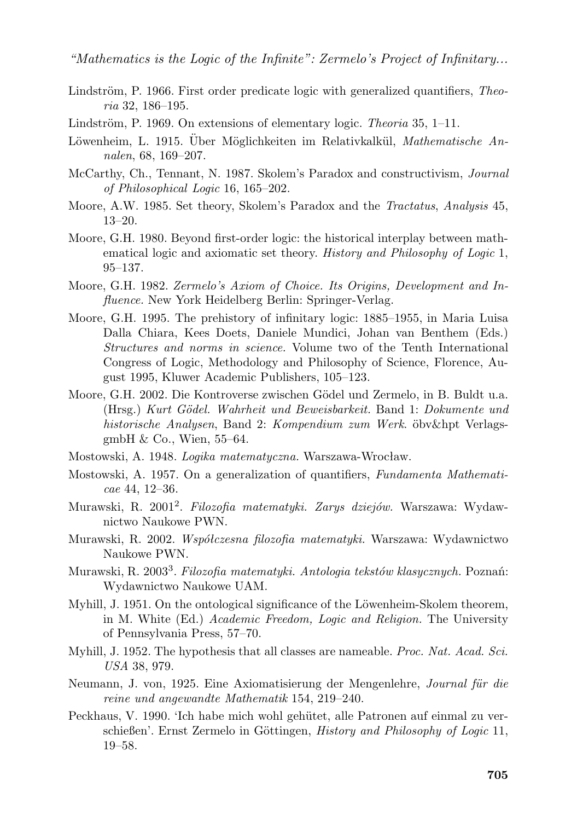- Lindström, P. 1966. First order predicate logic with generalized quantifiers, *Theoria* 32, 186–195.
- Lindström, P. 1969. On extensions of elementary logic. *Theoria* 35, 1-11.
- Löwenheim, L. 1915. Über Möglichkeiten im Relativkalkül, *Mathematische Annalen*, 68, 169–207.
- McCarthy, Ch., Tennant, N. 1987. Skolem's Paradox and constructivism, *Journal of Philosophical Logic* 16, 165–202.
- Moore, A.W. 1985. Set theory, Skolem's Paradox and the *Tractatus*, *Analysis* 45, 13–20.
- Moore, G.H. 1980. Beyond first-order logic: the historical interplay between mathematical logic and axiomatic set theory. *History and Philosophy of Logic* 1, 95–137.
- Moore, G.H. 1982. *Zermelo's Axiom of Choice. Its Origins, Development and Influence.* New York Heidelberg Berlin: Springer-Verlag.
- Moore, G.H. 1995. The prehistory of infinitary logic: 1885–1955, in Maria Luisa Dalla Chiara, Kees Doets, Daniele Mundici, Johan van Benthem (Eds.) *Structures and norms in science.* Volume two of the Tenth International Congress of Logic, Methodology and Philosophy of Science, Florence, August 1995, Kluwer Academic Publishers, 105–123.
- Moore, G.H. 2002. Die Kontroverse zwischen Gödel und Zermelo, in B. Buldt u.a. (Hrsg.) *Kurt G¨odel. Wahrheit und Beweisbarkeit.* Band 1: *Dokumente und historische Analysen*, Band 2: *Kompendium zum Werk*. ¨obv&hpt VerlagsgmbH & Co., Wien, 55–64.
- Mostowski, A. 1948. *Logika matematyczna.* Warszawa-Wrocław.
- Mostowski, A. 1957. On a generalization of quantifiers, *Fundamenta Mathematicae* 44, 12–36.
- Murawski, R. 2001<sup>2</sup> . *Filozofia matematyki. Zarys dziejów.* Warszawa: Wydawnictwo Naukowe PWN.
- Murawski, R. 2002. *Współczesna filozofia matematyki.* Warszawa: Wydawnictwo Naukowe PWN.
- Murawski, R. 2003<sup>3</sup> . *Filozofia matematyki. Antologia tekstów klasycznych.* Poznań: Wydawnictwo Naukowe UAM.
- Myhill, J. 1951. On the ontological significance of the Löwenheim-Skolem theorem, in M. White (Ed.) *Academic Freedom, Logic and Religion.* The University of Pennsylvania Press, 57–70.
- Myhill, J. 1952. The hypothesis that all classes are nameable. *Proc. Nat. Acad. Sci. USA* 38, 979.
- Neumann, J. von, 1925. Eine Axiomatisierung der Mengenlehre, *Journal für die reine und angewandte Mathematik* 154, 219–240.
- Peckhaus, V. 1990. 'Ich habe mich wohl gehütet, alle Patronen auf einmal zu verschießen'. Ernst Zermelo in Göttingen, *History and Philosophy of Logic* 11, 19–58.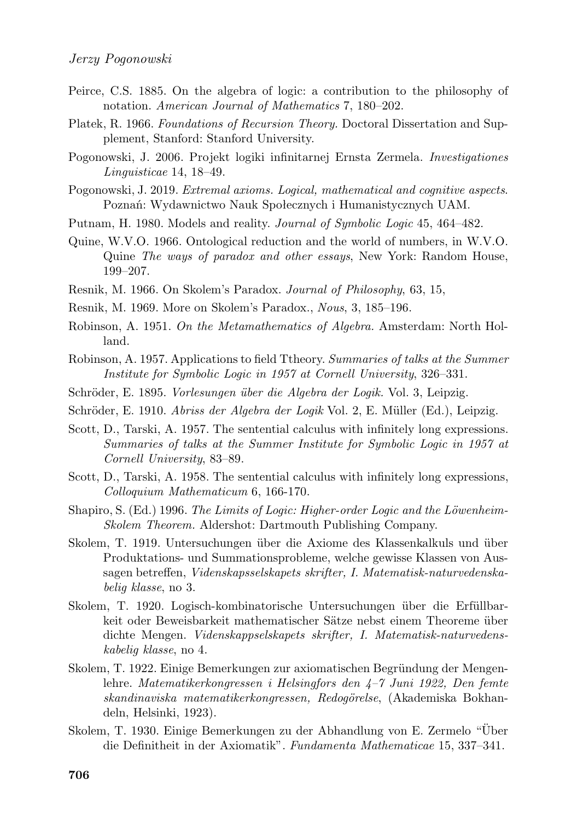- Peirce, C.S. 1885. On the algebra of logic: a contribution to the philosophy of notation. *American Journal of Mathematics* 7, 180–202.
- Platek, R. 1966. *Foundations of Recursion Theory.* Doctoral Dissertation and Supplement, Stanford: Stanford University.
- Pogonowski, J. 2006. Projekt logiki infinitarnej Ernsta Zermela. *Investigationes Linguisticae* 14, 18–49.
- Pogonowski, J. 2019. *Extremal axioms. Logical, mathematical and cognitive aspects*. Poznań: Wydawnictwo Nauk Społecznych i Humanistycznych UAM.
- Putnam, H. 1980. Models and reality. *Journal of Symbolic Logic* 45, 464–482.
- Quine, W.V.O. 1966. Ontological reduction and the world of numbers, in W.V.O. Quine *The ways of paradox and other essays*, New York: Random House, 199–207.
- Resnik, M. 1966. On Skolem's Paradox. *Journal of Philosophy*, 63, 15,
- Resnik, M. 1969. More on Skolem's Paradox., *Nous*, 3, 185–196.
- Robinson, A. 1951. *On the Metamathematics of Algebra.* Amsterdam: North Holland.
- Robinson, A. 1957. Applications to field Ttheory. *Summaries of talks at the Summer Institute for Symbolic Logic in 1957 at Cornell University*, 326–331.
- Schröder, E. 1895. *Vorlesungen über die Algebra der Logik*. Vol. 3, Leipzig.
- Schröder, E. 1910. *Abriss der Algebra der Logik* Vol. 2, E. Müller (Ed.), Leipzig.
- Scott, D., Tarski, A. 1957. The sentential calculus with infinitely long expressions. *Summaries of talks at the Summer Institute for Symbolic Logic in 1957 at Cornell University*, 83–89.
- Scott, D., Tarski, A. 1958. The sentential calculus with infinitely long expressions, *Colloquium Mathematicum* 6, 166-170.
- Shapiro, S. (Ed.) 1996. *The Limits of Logic: Higher-order Logic and the Löwenheim-Skolem Theorem.* Aldershot: Dartmouth Publishing Company.
- Skolem, T. 1919. Untersuchungen über die Axiome des Klassenkalkuls und über Produktations- und Summationsprobleme, welche gewisse Klassen von Aussagen betreffen, *Videnskapsselskapets skrifter, I. Matematisk-naturvedenskabelig klasse*, no 3.
- Skolem, T. 1920. Logisch-kombinatorische Untersuchungen über die Erfüllbarkeit oder Beweisbarkeit mathematischer Sätze nebst einem Theoreme über dichte Mengen. *Videnskappselskapets skrifter, I. Matematisk-naturvedenskabelig klasse*, no 4.
- Skolem, T. 1922. Einige Bemerkungen zur axiomatischen Begründung der Mengenlehre. *Matematikerkongressen i Helsingfors den 4–7 Juni 1922, Den femte skandinaviska matematikerkongressen, Redog¨orelse*, (Akademiska Bokhandeln, Helsinki, 1923).
- Skolem, T. 1930. Einige Bemerkungen zu der Abhandlung von E. Zermelo "Uber ¨ die Definitheit in der Axiomatik". *Fundamenta Mathematicae* 15, 337–341.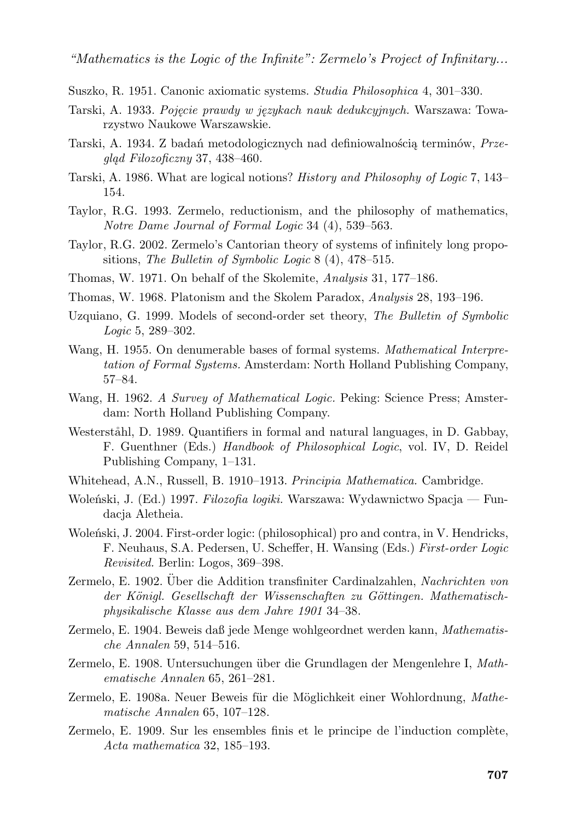- Suszko, R. 1951. Canonic axiomatic systems. *Studia Philosophica* 4, 301–330.
- Tarski, A. 1933. *Pojęcie prawdy w językach nauk dedukcyjnych.* Warszawa: Towarzystwo Naukowe Warszawskie.
- Tarski, A. 1934. Z badań metodologicznych nad definiowalnością terminów, *Przegląd Filozoficzny* 37, 438–460.
- Tarski, A. 1986. What are logical notions? *History and Philosophy of Logic* 7, 143– 154.
- Taylor, R.G. 1993. Zermelo, reductionism, and the philosophy of mathematics, *Notre Dame Journal of Formal Logic* 34 (4), 539–563.
- Taylor, R.G. 2002. Zermelo's Cantorian theory of systems of infinitely long propositions, *The Bulletin of Symbolic Logic* 8 (4), 478–515.
- Thomas, W. 1971. On behalf of the Skolemite, *Analysis* 31, 177–186.
- Thomas, W. 1968. Platonism and the Skolem Paradox, *Analysis* 28, 193–196.
- Uzquiano, G. 1999. Models of second-order set theory, *The Bulletin of Symbolic Logic* 5, 289–302.
- Wang, H. 1955. On denumerable bases of formal systems. *Mathematical Interpretation of Formal Systems.* Amsterdam: North Holland Publishing Company, 57–84.
- Wang, H. 1962. *A Survey of Mathematical Logic.* Peking: Science Press; Amsterdam: North Holland Publishing Company.
- Westerståhl, D. 1989. Quantifiers in formal and natural languages, in D. Gabbay, F. Guenthner (Eds.) *Handbook of Philosophical Logic*, vol. IV, D. Reidel Publishing Company, 1–131.
- Whitehead, A.N., Russell, B. 1910–1913. *Principia Mathematica.* Cambridge.
- Woleński, J. (Ed.) 1997. *Filozofia logiki.* Warszawa: Wydawnictwo Spacja Fundacia Aletheia.
- Woleński, J. 2004. First-order logic: (philosophical) pro and contra, in V. Hendricks, F. Neuhaus, S.A. Pedersen, U. Scheffer, H. Wansing (Eds.) *First-order Logic Revisited.* Berlin: Logos, 369–398.
- Zermelo, E. 1902. Über die Addition transfiniter Cardinalzahlen, Nachrichten von der Königl. Gesellschaft der Wissenschaften zu Göttingen. Mathematisch*physikalische Klasse aus dem Jahre 1901* 34–38.
- Zermelo, E. 1904. Beweis daß jede Menge wohlgeordnet werden kann, *Mathematische Annalen* 59, 514–516.
- Zermelo, E. 1908. Untersuchungen über die Grundlagen der Mengenlehre I, *Mathematische Annalen* 65, 261–281.
- Zermelo, E. 1908a. Neuer Beweis für die Möglichkeit einer Wohlordnung, *Mathematische Annalen* 65, 107–128.
- Zermelo, E. 1909. Sur les ensembles finis et le principe de l'induction complète, *Acta mathematica* 32, 185–193.